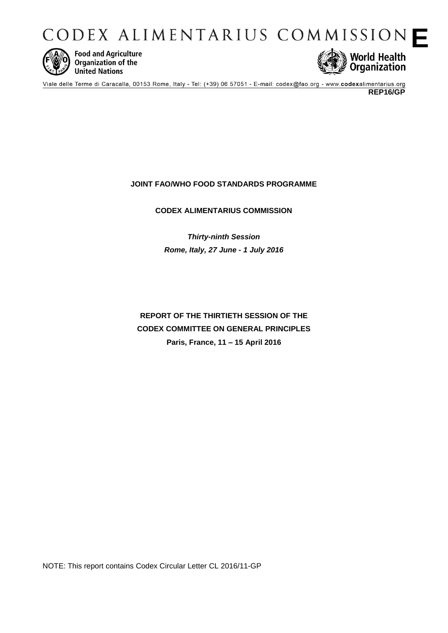CODEX ALIMENTARIUS COMMISSION



**Food and Agriculture** Organization of the **United Nations** 



Viale delle Terme di Caracalla, 00153 Rome, Italy - Tel: (+39) 06 57051 - E-mail: codex@fao.org - www.codexalimentarius.org **REP16/GP** 

# **JOINT FAO/WHO FOOD STANDARDS PROGRAMME**

# **CODEX ALIMENTARIUS COMMISSION**

*Thirty-ninth Session Rome, Italy, 27 June - 1 July 2016* 

# **REPORT OF THE THIRTIETH SESSION OF THE CODEX COMMITTEE ON GENERAL PRINCIPLES Paris, France, 11 – 15 April 2016**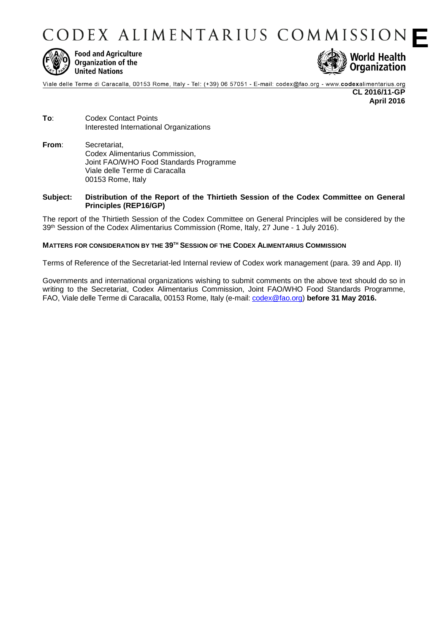CODEX ALIMENTARIUS COMMISSION



**Food and Agriculture** Organization of the **United Nations** 



Viale delle Terme di Caracalla, 00153 Rome, Italy - Tel: (+39) 06 57051 - E-mail: codex@fao.org - www.codexalimentarius.org **CL 2016/11-GP April 2016**

- **To**: Codex Contact Points Interested International Organizations
- **From**: Secretariat, Codex Alimentarius Commission, Joint FAO/WHO Food Standards Programme Viale delle Terme di Caracalla 00153 Rome, Italy

# **Subject: Distribution of the Report of the Thirtieth Session of the Codex Committee on General Principles (REP16/GP)**

The report of the Thirtieth Session of the Codex Committee on General Principles will be considered by the 39 th Session of the Codex Alimentarius Commission (Rome, Italy, 27 June - 1 July 2016).

# **MATTERS FOR CONSIDERATION BY THE 39 TH SESSION OF THE CODEX ALIMENTARIUS COMMISSION**

Terms of Reference of the Secretariat-led Internal review of Codex work management (para. 39 and App. II)

Governments and international organizations wishing to submit comments on the above text should do so in writing to the Secretariat, Codex Alimentarius Commission, Joint FAO/WHO Food Standards Programme, FAO, Viale delle Terme di Caracalla, 00153 Rome, Italy (e-mail: [codex@fao.org\)](mailto:codex@fao.org) **before 31 May 2016.**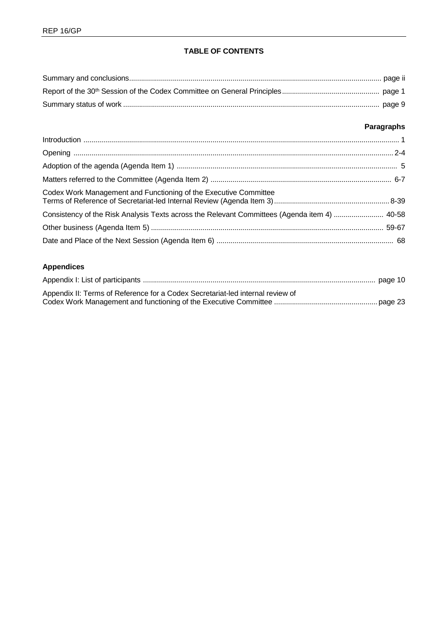# **TABLE OF CONTENTS**

# **Paragraphs**

| Codex Work Management and Functioning of the Executive Committee                             |  |
|----------------------------------------------------------------------------------------------|--|
| Consistency of the Risk Analysis Texts across the Relevant Committees (Agenda item 4)  40-58 |  |
|                                                                                              |  |
|                                                                                              |  |

# **Appendices**

| Appendix II: Terms of Reference for a Codex Secretariat-led internal review of |  |
|--------------------------------------------------------------------------------|--|
|                                                                                |  |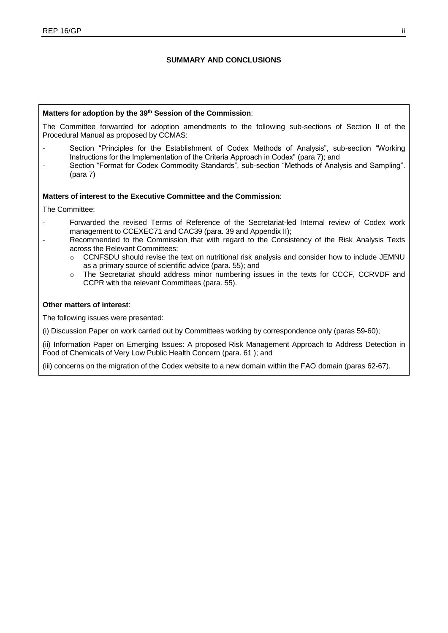# **SUMMARY AND CONCLUSIONS**

# **Matters for adoption by the 39th Session of the Commission**:

The Committee forwarded for adoption amendments to the following sub-sections of Section II of the Procedural Manual as proposed by CCMAS:

- Section "Principles for the Establishment of Codex Methods of Analysis", sub-section "Working Instructions for the Implementation of the Criteria Approach in Codex" (para 7); and
- Section "Format for Codex Commodity Standards", sub-section "Methods of Analysis and Sampling". (para 7)

# **Matters of interest to the Executive Committee and the Commission**:

The Committee:

- Forwarded the revised Terms of Reference of the Secretariat-led Internal review of Codex work management to CCEXEC71 and CAC39 (para. 39 and Appendix II);
- Recommended to the Commission that with regard to the Consistency of the Risk Analysis Texts across the Relevant Committees:
	- $\circ$  CCNFSDU should revise the text on nutritional risk analysis and consider how to include JEMNU as a primary source of scientific advice (para. 55); and
	- o The Secretariat should address minor numbering issues in the texts for CCCF, CCRVDF and CCPR with the relevant Committees (para. 55).

# **Other matters of interest**:

The following issues were presented:

(i) Discussion Paper on work carried out by Committees working by correspondence only (paras 59-60);

(ii) Information Paper on Emerging Issues: A proposed Risk Management Approach to Address Detection in Food of Chemicals of Very Low Public Health Concern (para. 61 ); and

(iii) concerns on the migration of the Codex website to a new domain within the FAO domain (paras 62-67).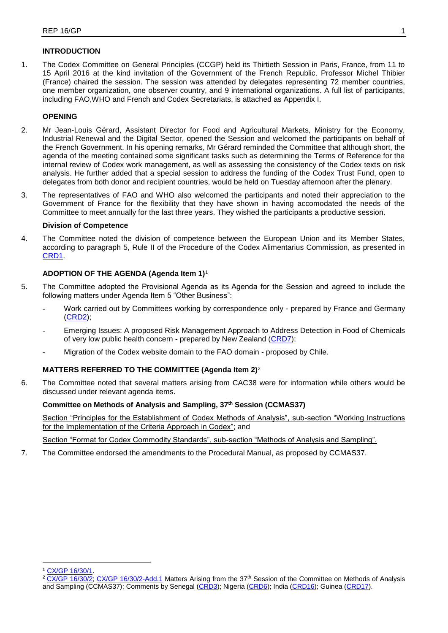# **INTRODUCTION**

1. The Codex Committee on General Principles (CCGP) held its Thirtieth Session in Paris, France, from 11 to 15 April 2016 at the kind invitation of the Government of the French Republic. Professor Michel Thibier (France) chaired the session. The session was attended by delegates representing 72 member countries, one member organization, one observer country, and 9 international organizations. A full list of participants, including FAO,WHO and French and Codex Secretariats, is attached as Appendix I.

# **OPENING**

- 2. Mr Jean-Louis Gérard, Assistant Director for Food and Agricultural Markets, Ministry for the Economy, Industrial Renewal and the Digital Sector, opened the Session and welcomed the participants on behalf of the French Government. In his opening remarks, Mr Gérard reminded the Committee that although short, the agenda of the meeting contained some significant tasks such as determining the Terms of Reference for the internal review of Codex work management, as well as assessing the consistency of the Codex texts on risk analysis. He further added that a special session to address the funding of the Codex Trust Fund, open to delegates from both donor and recipient countries, would be held on Tuesday afternoon after the plenary.
- 3. The representatives of FAO and WHO also welcomed the participants and noted their appreciation to the Government of France for the flexibility that they have shown in having accomodated the needs of the Committee to meet annually for the last three years. They wished the participants a productive session.

# **Division of Competence**

4. The Committee noted the division of competence between the European Union and its Member States, according to paragraph 5, Rule II of the Procedure of the Codex Alimentarius Commission, as presented in [CRD1.](http://www.fao.org/fao-who-codexalimentarius/sh-proxy/en/?lnk=1&url=https%253A%252F%252Fworkspace.fao.org%252Fsites%252Fcodex%252FMeetings%252FCX-716-30%252FCRD%252Fgp30_crd01e.pdf)

# **ADOPTION OF THE AGENDA (Agenda Item 1)**<sup>1</sup>

- 5. The Committee adopted the Provisional Agenda as its Agenda for the Session and agreed to include the following matters under Agenda Item 5 "Other Business":
	- Work carried out by Committees working by correspondence only prepared by France and Germany [\(CRD2\)](http://www.fao.org/fao-who-codexalimentarius/sh-proxy/en/?lnk=1&url=https%253A%252F%252Fworkspace.fao.org%252Fsites%252Fcodex%252FMeetings%252FCX-716-30%252FCRD%252Fgp30_crd02e.pdf);
	- Emerging Issues: A proposed Risk Management Approach to Address Detection in Food of Chemicals of very low public health concern - prepared by New Zealand [\(CRD7\)](http://www.fao.org/fao-who-codexalimentarius/sh-proxy/en/?lnk=1&url=https%253A%252F%252Fworkspace.fao.org%252Fsites%252Fcodex%252FMeetings%252FCX-716-30%252FCRD%252Fgp30_crd07x.pdf);
	- Migration of the Codex website domain to the FAO domain proposed by Chile.

# **MATTERS REFERRED TO THE COMMITTEE (Agenda Item 2)**<sup>2</sup>

6. The Committee noted that several matters arising from CAC38 were for information while others would be discussed under relevant agenda items.

# **Committee on Methods of Analysis and Sampling, 37th Session (CCMAS37)**

Section "Principles for the Establishment of Codex Methods of Analysis", sub-section "Working Instructions for the Implementation of the Criteria Approach in Codex"; and

Section "Format for Codex Commodity Standards", sub-section "Methods of Analysis and Sampling".

7. The Committee endorsed the amendments to the Procedural Manual, as proposed by CCMAS37.

<sup>-</sup><sup>1</sup> [CX/GP 16/30/1.](http://www.fao.org/fao-who-codexalimentarius/sh-proxy/en/?lnk=1&url=https%253A%252F%252Fworkspace.fao.org%252Fsites%252Fcodex%252FMeetings%252FCX-716-30%252FCRD%252Fgp30_crd01e.pdf)

<sup>&</sup>lt;sup>2</sup> [CX/GP 16/30/2; CX/GP 16/30/2-Add.1](http://www.fao.org/fao-who-codexalimentarius/sh-proxy/en/?lnk=1&url=https%253A%252F%252Fworkspace.fao.org%252Fsites%252Fcodex%252FMeetings%252FCX-716-30%252FWorking%2BDocuments%252Fgp30_02e.pdf) Matters Arising from the 37<sup>th</sup> Session of the Committee on Methods of Analysis and Sampling (CCMAS37); Comments by Senegal [\(CRD3\)](http://www.fao.org/fao-who-codexalimentarius/sh-proxy/en/?lnk=1&url=https%253A%252F%252Fworkspace.fao.org%252Fsites%252Fcodex%252FMeetings%252FCX-716-30%252FCRD%252Fgp30_crd03x.pdf); Nigeria [\(CRD6\)](http://www.fao.org/fao-who-codexalimentarius/sh-proxy/en/?lnk=1&url=https%253A%252F%252Fworkspace.fao.org%252Fsites%252Fcodex%252FMeetings%252FCX-716-30%252FCRD%252Fgp30_crd06x.pdf); India [\(CRD16\)](http://www.fao.org/fao-who-codexalimentarius/sh-proxy/en/?lnk=1&url=https%253A%252F%252Fworkspace.fao.org%252Fsites%252Fcodex%252FMeetings%252FCX-716-30%252FWorking%2BDocuments%252Fgp30_02e.pdf); Guinea [\(CRD17\)](http://www.fao.org/fao-who-codexalimentarius/sh-proxy/en/?lnk=1&url=https%253A%252F%252Fworkspace.fao.org%252Fsites%252Fcodex%252FMeetings%252FCX-716-30%252FCRD%252Fgp30_crd17x.pdf).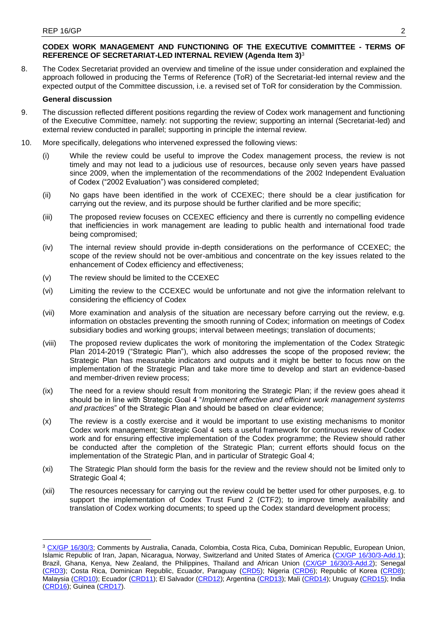-

# **CODEX WORK MANAGEMENT AND FUNCTIONING OF THE EXECUTIVE COMMITTEE - TERMS OF REFERENCE OF SECRETARIAT-LED INTERNAL REVIEW (Agenda Item 3)**<sup>3</sup>

8. The Codex Secretariat provided an overview and timeline of the issue under consideration and explained the approach followed in producing the Terms of Reference (ToR) of the Secretariat-led internal review and the expected output of the Committee discussion, i.e. a revised set of ToR for consideration by the Commission.

# **General discussion**

- 9. The discussion reflected different positions regarding the review of Codex work management and functioning of the Executive Committee, namely: not supporting the review; supporting an internal (Secretariat-led) and external review conducted in parallel; supporting in principle the internal review.
- 10. More specifically, delegations who intervened expressed the following views:
	- (i) While the review could be useful to improve the Codex management process, the review is not timely and may not lead to a judicious use of resources, because only seven years have passed since 2009, when the implementation of the recommendations of the 2002 Independent Evaluation of Codex ("2002 Evaluation") was considered completed;
	- (ii) No gaps have been identified in the work of CCEXEC; there should be a clear justification for carrying out the review, and its purpose should be further clarified and be more specific;
	- (iii) The proposed review focuses on CCEXEC efficiency and there is currently no compelling evidence that inefficiencies in work management are leading to public health and international food trade being compromised;
	- (iv) The internal review should provide in-depth considerations on the performance of CCEXEC; the scope of the review should not be over-ambitious and concentrate on the key issues related to the enhancement of Codex efficiency and effectiveness;
	- (v) The review should be limited to the CCEXEC
	- (vi) Limiting the review to the CCEXEC would be unfortunate and not give the information relelvant to considering the efficiency of Codex
	- (vii) More examination and analysis of the situation are necessary before carrying out the review, e.g. information on obstacles preventing the smooth running of Codex; information on meetings of Codex subsidiary bodies and working groups; interval between meetings; translation of documents;
	- (viii) The proposed review duplicates the work of monitoring the implementation of the Codex Strategic Plan 2014-2019 ("Strategic Plan"), which also addresses the scope of the proposed review; the Strategic Plan has measurable indicators and outputs and it might be better to focus now on the implementation of the Strategic Plan and take more time to develop and start an evidence-based and member-driven review process;
	- (ix) The need for a review should result from monitoring the Strategic Plan; if the review goes ahead it should be in line with Strategic Goal 4 "*Implement effective and efficient work management systems and practices*" of the Strategic Plan and should be based on clear evidence;
	- (x) The review is a costly exercise and it would be important to use existing mechanisms to monitor Codex work management; Strategic Goal 4 sets a useful framework for continuous review of Codex work and for ensuring effective implementation of the Codex programme; the Review should rather be conducted after the completion of the Strategic Plan; current efforts should focus on the implementation of the Strategic Plan, and in particular of Strategic Goal 4;
	- (xi) The Strategic Plan should form the basis for the review and the review should not be limited only to Strategic Goal 4:
	- (xii) The resources necessary for carrying out the review could be better used for other purposes, e.g. to support the implementation of Codex Trust Fund 2 (CTF2); to improve timely availability and translation of Codex working documents; to speed up the Codex standard development process;

<sup>3</sup> [CX/GP 16/30/3;](http://www.fao.org/fao-who-codexalimentarius/sh-proxy/en/?lnk=1&url=https%253A%252F%252Fworkspace.fao.org%252Fsites%252Fcodex%252FMeetings%252FCX-716-30%252FWorking%2BDocuments%252FGP30_03e.pdf) Comments by Australia, Canada, Colombia, Costa Rica, Cuba, Dominican Republic, European Union, Islamic Republic of Iran, Japan, Nicaragua, Norway, Switzerland and United States of America [\(CX/GP 16/30/3-Add.1\)](http://www.fao.org/fao-who-codexalimentarius/sh-proxy/en/?lnk=1&url=https%253A%252F%252Fworkspace.fao.org%252Fsites%252Fcodex%252FMeetings%252FCX-716-30%252FWorking%2BDocuments%252Fgp30_03_add1e.pdf); Brazil, Ghana, Kenya, New Zealand, the Philippines, Thailand and African Union [\(CX/GP 16/30/3-Add.2\)](http://www.fao.org/fao-who-codexalimentarius/sh-proxy/en/?lnk=1&url=https%253A%252F%252Fworkspace.fao.org%252Fsites%252Fcodex%252FMeetings%252FCX-716-30%252FWorking%2BDocuments%252Fgp30_03_add2x.pdf); Senegal [\(CRD3\)](http://www.fao.org/fao-who-codexalimentarius/sh-proxy/en/?lnk=1&url=https%253A%252F%252Fworkspace.fao.org%252Fsites%252Fcodex%252FMeetings%252FCX-716-30%252FCRD%252Fgp30_crd03x.pdf); Costa Rica, Dominican Republic, Ecuador, Paraguay [\(CRD5\)](http://www.fao.org/fao-who-codexalimentarius/sh-proxy/en/?lnk=1&url=https%253A%252F%252Fworkspace.fao.org%252Fsites%252Fcodex%252FMeetings%252FCX-716-30%252FCRD%252Fgp30_crd05x.pdf); Nigeria [\(CRD6\)](http://www.fao.org/fao-who-codexalimentarius/sh-proxy/en/?lnk=1&url=https%253A%252F%252Fworkspace.fao.org%252Fsites%252Fcodex%252FMeetings%252FCX-716-30%252FCRD%252Fgp30_crd06x.pdf); Republic of Korea [\(CRD8\)](http://www.fao.org/fao-who-codexalimentarius/sh-proxy/en/?lnk=1&url=https%253A%252F%252Fworkspace.fao.org%252Fsites%252Fcodex%252FMeetings%252FCX-716-30%252FCRD%252Fgp30_crd08x.pdf); Malaysia [\(CRD10\)](http://www.fao.org/fao-who-codexalimentarius/sh-proxy/en/?lnk=1&url=https%253A%252F%252Fworkspace.fao.org%252Fsites%252Fcodex%252FMeetings%252FCX-716-30%252FCRD%252Fgp30_crd10x.pdf); Ecuador [\(CRD11\)](http://www.fao.org/fao-who-codexalimentarius/sh-proxy/en/?lnk=1&url=https%253A%252F%252Fworkspace.fao.org%252Fsites%252Fcodex%252FMeetings%252FCX-716-30%252FCRD%252Fgp30_crd11x.pdf); El Salvador [\(CRD12\)](http://www.fao.org/fao-who-codexalimentarius/sh-proxy/en/?lnk=1&url=https%253A%252F%252Fworkspace.fao.org%252Fsites%252Fcodex%252FMeetings%252FCX-716-30%252FCRD%252Fgp30_crd12x.pdf); Argentina [\(CRD13\)](http://www.fao.org/fao-who-codexalimentarius/sh-proxy/en/?lnk=1&url=https%253A%252F%252Fworkspace.fao.org%252Fsites%252Fcodex%252FMeetings%252FCX-716-30%252FCRD%252Fgp30_crd13x.pdf); Mali [\(CRD14\)](http://www.fao.org/fao-who-codexalimentarius/sh-proxy/en/?lnk=1&url=https%253A%252F%252Fworkspace.fao.org%252Fsites%252Fcodex%252FMeetings%252FCX-716-30%252FCRD%252Fgp30_crd14x.pdf); Uruguay [\(CRD15\)](http://www.fao.org/fao-who-codexalimentarius/sh-proxy/en/?lnk=1&url=https%253A%252F%252Fworkspace.fao.org%252Fsites%252Fcodex%252FMeetings%252FCX-716-30%252FCRD%252Fgp30_crd15x.pdf); India [\(CRD16\)](http://www.fao.org/fao-who-codexalimentarius/sh-proxy/en/?lnk=1&url=https%253A%252F%252Fworkspace.fao.org%252Fsites%252Fcodex%252FMeetings%252FCX-716-30%252FCRD%252Fgp30_crd16x.pdf); Guinea [\(CRD17\)](http://www.fao.org/fao-who-codexalimentarius/sh-proxy/en/?lnk=1&url=https%253A%252F%252Fworkspace.fao.org%252Fsites%252Fcodex%252FMeetings%252FCX-716-30%252FCRD%252Fgp30_crd17x.pdf).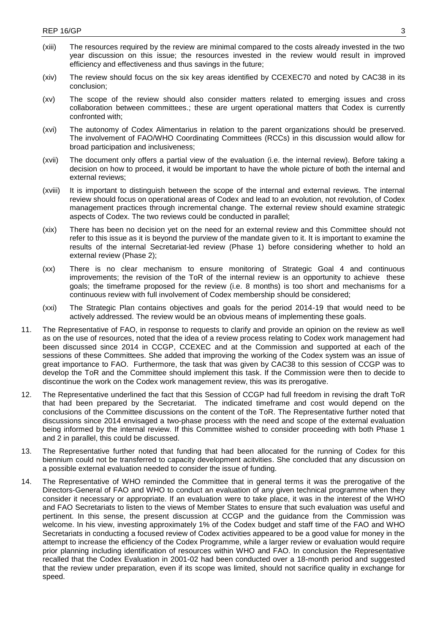- (xiii) The resources required by the review are minimal compared to the costs already invested in the two year discussion on this issue; the resources invested in the review would result in improved efficiency and effectiveness and thus savings in the future;
- (xiv) The review should focus on the six key areas identified by CCEXEC70 and noted by CAC38 in its conclusion;
- (xv) The scope of the review should also consider matters related to emerging issues and cross collaboration between committees.; these are urgent operational matters that Codex is currently confronted with;
- (xvi) The autonomy of Codex Alimentarius in relation to the parent organizations should be preserved. The involvement of FAO/WHO Coordinating Committees (RCCs) in this discussion would allow for broad participation and inclusiveness;
- (xvii) The document only offers a partial view of the evaluation (i.e. the internal review). Before taking a decision on how to proceed, it would be important to have the whole picture of both the internal and external reviews;
- (xviii) It is important to distinguish between the scope of the internal and external reviews. The internal review should focus on operational areas of Codex and lead to an evolution, not revolution, of Codex management practices through incremental change. The external review should examine strategic aspects of Codex. The two reviews could be conducted in parallel;
- (xix) There has been no decision yet on the need for an external review and this Committee should not refer to this issue as it is beyond the purview of the mandate given to it. It is important to examine the results of the internal Secretariat-led review (Phase 1) before considering whether to hold an external review (Phase 2);
- (xx) There is no clear mechanism to ensure monitoring of Strategic Goal 4 and continuous improvements; the revision of the ToR of the internal review is an opportunity to achieve these goals; the timeframe proposed for the review (i.e. 8 months) is too short and mechanisms for a continuous review with full involvement of Codex membership should be considered;
- (xxi) The Strategic Plan contains objectives and goals for the period 2014-19 that would need to be actively addressed. The review would be an obvious means of implementing these goals.
- 11. The Representative of FAO, in response to requests to clarify and provide an opinion on the review as well as on the use of resources, noted that the idea of a review process relating to Codex work management had been discussed since 2014 in CCGP, CCEXEC and at the Commission and supported at each of the sessions of these Committees. She added that improving the working of the Codex system was an issue of great importance to FAO. Furthermore, the task that was given by CAC38 to this session of CCGP was to develop the ToR and the Committee should implement this task. If the Commission were then to decide to discontinue the work on the Codex work management review, this was its prerogative.
- 12. The Representative underlined the fact that this Session of CCGP had full freedom in revising the draft ToR that had been prepared by the Secretariat. The indicated timeframe and cost would depend on the conclusions of the Committee discussions on the content of the ToR. The Representative further noted that discussions since 2014 envisaged a two-phase process with the need and scope of the external evaluation being informed by the internal review. If this Committee wished to consider proceeding with both Phase 1 and 2 in parallel, this could be discussed.
- 13. The Representative further noted that funding that had been allocated for the running of Codex for this biennium could not be transferred to capacity development acitvities. She concluded that any discussion on a possible external evaluation needed to consider the issue of funding.
- 14. The Representative of WHO reminded the Committee that in general terms it was the prerogative of the Directors-General of FAO and WHO to conduct an evaluation of any given technical programme when they consider it necessary or appropriate. If an evaluation were to take place, it was in the interest of the WHO and FAO Secretariats to listen to the views of Member States to ensure that such evaluation was useful and pertinent. In this sense, the present discussion at CCGP and the guidance from the Commission was welcome. In his view, investing approximately 1% of the Codex budget and staff time of the FAO and WHO Secretariats in conducting a focused review of Codex activities appeared to be a good value for money in the attempt to increase the efficiency of the Codex Programme, while a larger review or evaluation would require prior planning including identification of resources within WHO and FAO. In conclusion the Representative recalled that the Codex Evaluation in 2001-02 had been conducted over a 18-month period and suggested that the review under preparation, even if its scope was limited, should not sacrifice quality in exchange for speed.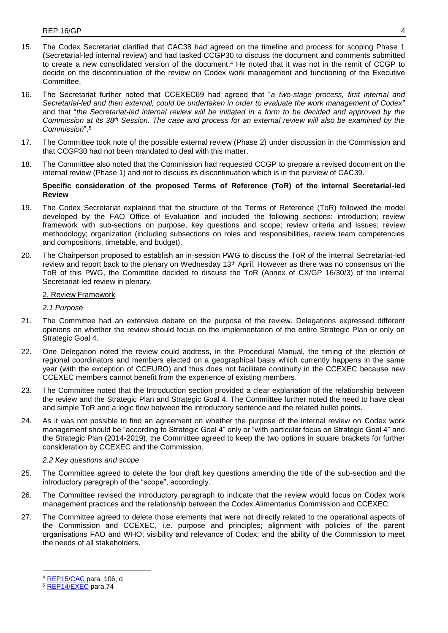- 15. The Codex Secretariat clarified that CAC38 had agreed on the timeline and process for scoping Phase 1 (Secretarial-led internal review) and had tasked CCGP30 to discuss the document and comments submitted to create a new consolidated version of the document. <sup>4</sup> He noted that it was not in the remit of CCGP to decide on the discontinuation of the review on Codex work management and functioning of the Executive Committee.
- 16. The Secretariat further noted that CCEXEC69 had agreed that "*a two-stage process, first internal and Secretarial-led and then external, could be undertaken in order to evaluate the work management of Codex*" and that "*the Secretariat-led internal review will be initiated in a form to be decided and approved by the Commission at its 38th Session. The case and process for an external review will also be examined by the Commission*".<sup>5</sup>
- 17. The Committee took note of the possible external review (Phase 2) under discussion in the Commission and that CCGP30 had not been mandated to deal with this matter.
- 18. The Committee also noted that the Commission had requested CCGP to prepare a revised document on the internal review (Phase 1) and not to discuss its discontinuation which is in the purview of CAC39.

# **Specific consideration of the proposed Terms of Reference (ToR) of the internal Secretarial-led Review**

- 19. The Codex Secretariat explained that the structure of the Terms of Reference (ToR) followed the model developed by the FAO Office of Evaluation and included the following sections: introduction; review framework with sub-sections on purpose, key questions and scope; review criteria and issues; review methodology; organization (including subsections on roles and responsibilities, review team competencies and compositions, timetable, and budget).
- 20. The Chairperson proposed to establish an in-session PWG to discuss the ToR of the internal Secretariat-led review and report back to the plenary on Wednesday 13<sup>th</sup> April. However as there was no consensus on the ToR of this PWG, the Committee decided to discuss the ToR (Annex of CX/GP 16/30/3) of the internal Secretariat-led review in plenary.

# 2. Review Framework

*2.1 Purpose*

- 21. The Committee had an extensive debate on the purpose of the review. Delegations expressed different opinions on whether the review should focus on the implementation of the entire Strategic Plan or only on Strategic Goal 4.
- 22. One Delegation noted the review could address, in the Procedural Manual, the timing of the election of regional coordinators and members elected on a geographical basis which currently happens in the same year (with the exception of CCEURO) and thus does not facilitate continuity in the CCEXEC because new CCEXEC members cannot benefit from the experience of existing members.
- 23. The Committee noted that the Introduction section provided a clear explanation of the relationship between the review and the Strategic Plan and Strategic Goal 4. The Committee further noted the need to have clear and simple ToR and a logic flow between the introductory sentence and the related bullet points.
- 24. As it was not possible to find an agreement on whether the purpose of the internal review on Codex work management should be "according to Strategic Goal 4" only or "with particular focus on Strategic Goal 4" and the Strategic Plan (2014-2019), the Committee agreed to keep the two options in square brackets for further consideration by CCEXEC and the Commission.

# *2.2 Key questions and scope*

- 25. The Committee agreed to delete the four draft key questions amending the title of the sub-section and the introductory paragraph of the "scope", accordingly.
- 26. The Committee revised the introductory paragraph to indicate that the review would focus on Codex work management practices and the relationship between the Codex Alimentarius Commission and CCEXEC.
- 27. The Committee agreed to delete those elements that were not directly related to the operational aspects of the Commission and CCEXEC, i.e. purpose and principles; alignment with policies of the parent organisations FAO and WHO; visibility and relevance of Codex; and the ability of the Commission to meet the needs of all stakeholders.

-

<sup>&</sup>lt;sup>5</sup> [REP14/EXEC](ftp://ftp.fao.org/codex/Reports/Reports_2014/REP14_EXf.pdf) para.74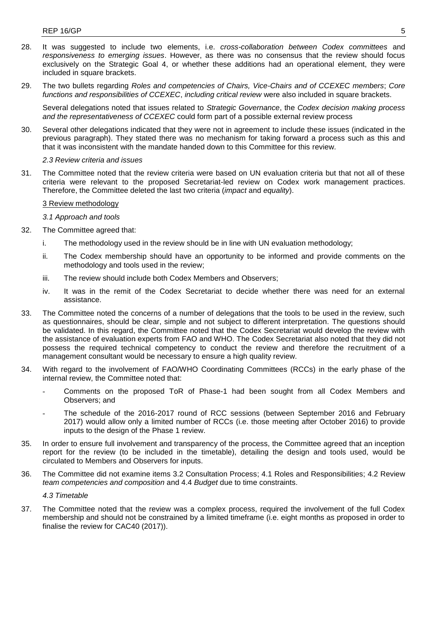- 28. It was suggested to include two elements, i.e. *cross-collaboration between Codex committees* and *responsiveness to emerging issues*. However, as there was no consensus that the review should focus exclusively on the Strategic Goal 4, or whether these additions had an operational element, they were included in square brackets.
- 29. The two bullets regarding *Roles and competencies of Chairs, Vice-Chairs and of CCEXEC members*; *Core functions and responsibilities of CCEXEC*, *including critical review* were also included in square brackets.

Several delegations noted that issues related to *Strategic Governance*, the *Codex decision making process and the representativeness of CCEXEC* could form part of a possible external review process

30. Several other delegations indicated that they were not in agreement to include these issues (indicated in the previous paragraph). They stated there was no mechanism for taking forward a process such as this and that it was inconsistent with the mandate handed down to this Committee for this review.

## *2.3 Review criteria and issues*

31. The Committee noted that the review criteria were based on UN evaluation criteria but that not all of these criteria were relevant to the proposed Secretariat-led review on Codex work management practices. Therefore, the Committee deleted the last two criteria (*impact* and *equality*).

### 3 Review methodology

#### *3.1 Approach and tools*

- 32. The Committee agreed that:
	- i. The methodology used in the review should be in line with UN evaluation methodology;
	- ii. The Codex membership should have an opportunity to be informed and provide comments on the methodology and tools used in the review;
	- iii. The review should include both Codex Members and Observers;
	- iv. It was in the remit of the Codex Secretariat to decide whether there was need for an external assistance.
- 33. The Committee noted the concerns of a number of delegations that the tools to be used in the review, such as questionnaires, should be clear, simple and not subject to different interpretation. The questions should be validated. In this regard, the Committee noted that the Codex Secretariat would develop the review with the assistance of evaluation experts from FAO and WHO. The Codex Secretariat also noted that they did not possess the required technical competency to conduct the review and therefore the recruitment of a management consultant would be necessary to ensure a high quality review.
- 34. With regard to the involvement of FAO/WHO Coordinating Committees (RCCs) in the early phase of the internal review, the Committee noted that:
	- Comments on the proposed ToR of Phase-1 had been sought from all Codex Members and Observers; and
	- The schedule of the 2016-2017 round of RCC sessions (between September 2016 and February 2017) would allow only a limited number of RCCs (i.e. those meeting after October 2016) to provide inputs to the design of the Phase 1 review.
- 35. In order to ensure full involvement and transparency of the process, the Committee agreed that an inception report for the review (to be included in the timetable), detailing the design and tools used, would be circulated to Members and Observers for inputs.
- 36. The Committee did not examine items 3.2 Consultation Process; 4.1 Roles and Responsibilities; 4.2 Review *team competencies and composition* and 4.4 *Budget* due to time constraints.

#### *4.3 Timetable*

37. The Committee noted that the review was a complex process, required the involvement of the full Codex membership and should not be constrained by a limited timeframe (i.e. eight months as proposed in order to finalise the review for CAC40 (2017)).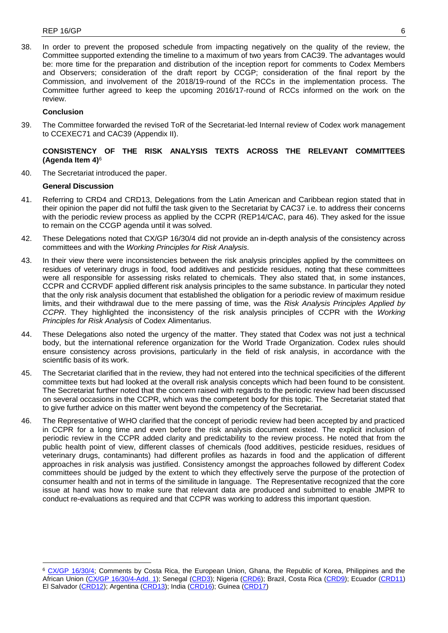38. In order to prevent the proposed schedule from impacting negatively on the quality of the review, the Committee supported extending the timeline to a maximum of two years from CAC39. The advantages would be: more time for the preparation and distribution of the inception report for comments to Codex Members and Observers; consideration of the draft report by CCGP; consideration of the final report by the Commission, and involvement of the 2018/19-round of the RCCs in the implementation process. The Committee further agreed to keep the upcoming 2016/17-round of RCCs informed on the work on the review.

# **Conclusion**

39. The Committee forwarded the revised ToR of the Secretariat-led Internal review of Codex work management to CCEXEC71 and CAC39 (Appendix II).

# **CONSISTENCY OF THE RISK ANALYSIS TEXTS ACROSS THE RELEVANT COMMITTEES (Agenda Item 4)**<sup>6</sup>

40. The Secretariat introduced the paper.

# **General Discussion**

-

- 41. Referring to CRD4 and CRD13, Delegations from the Latin American and Caribbean region stated that in their opinion the paper did not fulfil the task given to the Secretariat by CAC37 i.e. to address their concerns with the periodic review process as applied by the CCPR (REP14/CAC, para 46). They asked for the issue to remain on the CCGP agenda until it was solved.
- 42. These Delegations noted that CX/GP 16/30/4 did not provide an in-depth analysis of the consistency across committees and with the *Working Principles for Risk Analysis*.
- 43. In their view there were inconsistencies between the risk analysis principles applied by the committees on residues of veterinary drugs in food, food additives and pesticide residues, noting that these committees were all responsible for assessing risks related to chemicals. They also stated that, in some instances, CCPR and CCRVDF applied different risk analysis principles to the same substance. In particular they noted that the only risk analysis document that established the obligation for a periodic review of maximum residue limits, and their withdrawal due to the mere passing of time, was the *Risk Analysis Principles Applied by CCPR*. They highlighted the inconsistency of the risk analysis principles of CCPR with the *Working Principles for Risk Analysis* of Codex Alimentarius.
- 44. These Delegations also noted the urgency of the matter. They stated that Codex was not just a technical body, but the international reference organization for the World Trade Organization. Codex rules should ensure consistency across provisions, particularly in the field of risk analysis, in accordance with the scientific basis of its work.
- 45. The Secretariat clarified that in the review, they had not entered into the technical specificities of the different committee texts but had looked at the overall risk analysis concepts which had been found to be consistent. The Secretariat further noted that the concern raised with regards to the periodic review had been discussed on several occasions in the CCPR, which was the competent body for this topic. The Secretariat stated that to give further advice on this matter went beyond the competency of the Secretariat.
- 46. The Representative of WHO clarified that the concept of periodic review had been accepted by and practiced in CCPR for a long time and even before the risk analysis document existed. The explicit inclusion of periodic review in the CCPR added clarity and predictability to the review process. He noted that from the public health point of view, different classes of chemicals (food additives, pesticide residues, residues of veterinary drugs, contaminants) had different profiles as hazards in food and the application of different approaches in risk analysis was justified. Consistency amongst the approaches followed by different Codex committees should be judged by the extent to which they effectively serve the purpose of the protection of consumer health and not in terms of the similitude in language. The Representative recognized that the core issue at hand was how to make sure that relevant data are produced and submitted to enable JMPR to conduct re-evaluations as required and that CCPR was working to address this important question.

<sup>6</sup> [CX/GP 16/30/4;](http://www.fao.org/fao-who-codexalimentarius/sh-proxy/en/?lnk=1&url=https%253A%252F%252Fworkspace.fao.org%252Fsites%252Fcodex%252FMeetings%252FCX-716-30%252FWorking%2BDocuments%252Fgp30_04e.pdf) Comments by Costa Rica, the European Union, Ghana, the Republic of Korea, Philippines and the African Union [\(CX/GP 16/30/4-Add. 1\)](http://www.fao.org/fao-who-codexalimentarius/sh-proxy/en/?lnk=1&url=https%253A%252F%252Fworkspace.fao.org%252Fsites%252Fcodex%252FMeetings%252FCX-716-30%252FWorking%2BDocuments%252Fgp30_04_add1x.pdf); Senegal [\(CRD3\)](http://www.fao.org/fao-who-codexalimentarius/sh-proxy/en/?lnk=1&url=https%253A%252F%252Fworkspace.fao.org%252Fsites%252Fcodex%252FMeetings%252FCX-716-30%252FCRD%252Fgp30_crd03x.pdf); Nigeria [\(CRD6\)](http://www.fao.org/fao-who-codexalimentarius/sh-proxy/en/?lnk=1&url=https%253A%252F%252Fworkspace.fao.org%252Fsites%252Fcodex%252FMeetings%252FCX-716-30%252FCRD%252Fgp30_crd06x.pdf); Brazil, Costa Rica [\(CRD9\)](http://www.fao.org/fao-who-codexalimentarius/sh-proxy/en/?lnk=1&url=https%253A%252F%252Fworkspace.fao.org%252Fsites%252Fcodex%252FMeetings%252FCX-716-30%252FCRD%252Fgp30_crd09x.pdf); Ecuador [\(CRD11\)](http://www.fao.org/fao-who-codexalimentarius/sh-proxy/en/?lnk=1&url=https%253A%252F%252Fworkspace.fao.org%252Fsites%252Fcodex%252FMeetings%252FCX-716-30%252FCRD%252Fgp30_crd11x.pdf) El Salvador [\(CRD12\)](http://www.fao.org/fao-who-codexalimentarius/sh-proxy/en/?lnk=1&url=https%253A%252F%252Fworkspace.fao.org%252Fsites%252Fcodex%252FMeetings%252FCX-716-30%252FCRD%252Fgp30_crd12x.pdf); Argentina [\(CRD13\)](http://www.fao.org/fao-who-codexalimentarius/sh-proxy/en/?lnk=1&url=https%253A%252F%252Fworkspace.fao.org%252Fsites%252Fcodex%252FMeetings%252FCX-716-30%252FCRD%252Fgp30_crd13x.pdf); India [\(CRD16\)](http://www.fao.org/fao-who-codexalimentarius/sh-proxy/en/?lnk=1&url=https%253A%252F%252Fworkspace.fao.org%252Fsites%252Fcodex%252FMeetings%252FCX-716-30%252FCRD%252Fgp30_crd16x.pdf); Guinea [\(CRD17\)](http://www.fao.org/fao-who-codexalimentarius/sh-proxy/en/?lnk=1&url=https%253A%252F%252Fworkspace.fao.org%252Fsites%252Fcodex%252FMeetings%252FCX-716-30%252FCRD%252Fgp30_crd17x.pdf)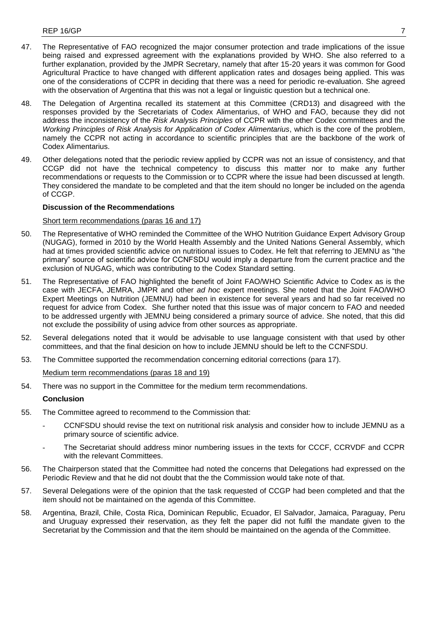- 47. The Representative of FAO recognized the major consumer protection and trade implications of the issue being raised and expressed agreement with the explanations provided by WHO. She also referred to a further explanation, provided by the JMPR Secretary, namely that after 15-20 years it was common for Good Agricultural Practice to have changed with different application rates and dosages being applied. This was one of the considerations of CCPR in deciding that there was a need for periodic re-evaluation. She agreed with the observation of Argentina that this was not a legal or linguistic question but a technical one.
- 48. The Delegation of Argentina recalled its statement at this Committee (CRD13) and disagreed with the responses provided by the Secretariats of Codex Alimentarius, of WHO and FAO, because they did not address the inconsistency of the *Risk Analysis Principles* of CCPR with the other Codex committees and the *Working Principles of Risk Analysis for Application of Codex Alimentarius*, which is the core of the problem, namely the CCPR not acting in accordance to scientific principles that are the backbone of the work of Codex Alimentarius.
- 49. Other delegations noted that the periodic review applied by CCPR was not an issue of consistency, and that CCGP did not have the technical competency to discuss this matter nor to make any further recommendations or requests to the Commission or to CCPR where the issue had been discussed at length. They considered the mandate to be completed and that the item should no longer be included on the agenda of CCGP.

### **Discussion of the Recommendations**

### Short term recommendations (paras 16 and 17)

- 50. The Representative of WHO reminded the Committee of the WHO Nutrition Guidance Expert Advisory Group (NUGAG), formed in 2010 by the World Health Assembly and the United Nations General Assembly, which had at times provided scientific advice on nutritional issues to Codex. He felt that referring to JEMNU as "the primary" source of scientific advice for CCNFSDU would imply a departure from the current practice and the exclusion of NUGAG, which was contributing to the Codex Standard setting.
- 51. The Representative of FAO highlighted the benefit of Joint FAO/WHO Scientific Advice to Codex as is the case with JECFA, JEMRA, JMPR and other *ad hoc* expert meetings. She noted that the Joint FAO/WHO Expert Meetings on Nutrition (JEMNU) had been in existence for several years and had so far received no request for advice from Codex. She further noted that this issue was of major concern to FAO and needed to be addressed urgently with JEMNU being considered a primary source of advice. She noted, that this did not exclude the possibility of using advice from other sources as appropriate.
- 52. Several delegations noted that it would be advisable to use language consistent with that used by other committees, and that the final desicion on how to include JEMNU should be left to the CCNFSDU.
- 53. The Committee supported the recommendation concerning editorial corrections (para 17).

# Medium term recommendations (paras 18 and 19)

54. There was no support in the Committee for the medium term recommendations.

# **Conclusion**

- 55. The Committee agreed to recommend to the Commission that:
	- CCNFSDU should revise the text on nutritional risk analysis and consider how to include JEMNU as a primary source of scientific advice.
	- The Secretariat should address minor numbering issues in the texts for CCCF, CCRVDF and CCPR with the relevant Committees.
- 56. The Chairperson stated that the Committee had noted the concerns that Delegations had expressed on the Periodic Review and that he did not doubt that the the Commission would take note of that.
- 57. Several Delegations were of the opinion that the task requested of CCGP had been completed and that the item should not be maintained on the agenda of this Committee.
- 58. Argentina, Brazil, Chile, Costa Rica, Dominican Republic, Ecuador, El Salvador, Jamaica, Paraguay, Peru and Uruguay expressed their reservation, as they felt the paper did not fulfil the mandate given to the Secretariat by the Commission and that the item should be maintained on the agenda of the Committee.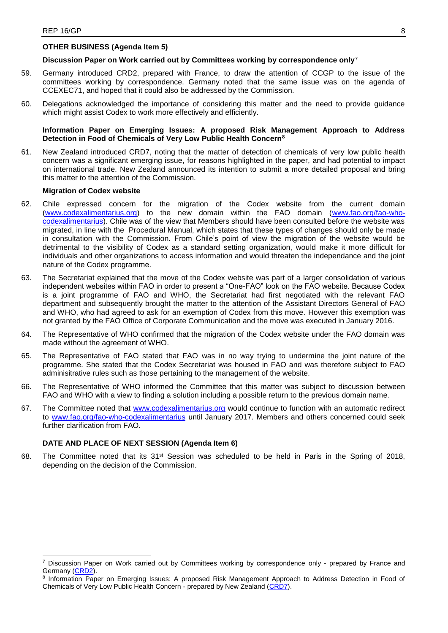# **OTHER BUSINESS (Agenda Item 5)**

# **Discussion Paper on Work carried out by Committees working by correspondence only**<sup>7</sup>

- 59. Germany introduced CRD2, prepared with France, to draw the attention of CCGP to the issue of the committees working by correspondence. Germany noted that the same issue was on the agenda of CCEXEC71, and hoped that it could also be addressed by the Commission.
- 60. Delegations acknowledged the importance of considering this matter and the need to provide guidance which might assist Codex to work more effectively and efficiently.

# **Information Paper on Emerging Issues: A proposed Risk Management Approach to Address Detection in Food of Chemicals of Very Low Public Health Concern<sup>8</sup>**

61. New Zealand introduced CRD7, noting that the matter of detection of chemicals of very low public health concern was a significant emerging issue, for reasons highlighted in the paper, and had potential to impact on international trade. New Zealand announced its intention to submit a more detailed proposal and bring this matter to the attention of the Commission.

## **Migration of Codex website**

- 62. Chile expressed concern for the migration of the Codex website from the current domain [\(www.codexalimentarius.org\)](http://www.codexalimentarius.org/) to the new domain within the FAO domain [\(www.fao.org/fao-who](http://www.fao.org/fao-who-codexalimentarius/)[codexalimentarius\)](http://www.fao.org/fao-who-codexalimentarius/). Chile was of the view that Members should have been consulted before the website was migrated, in line with the Procedural Manual, which states that these types of changes should only be made in consultation with the Commission. From Chile's point of view the migration of the website would be detrimental to the visibility of Codex as a standard setting organization, would make it more difficult for individuals and other organizations to access information and would threaten the independance and the joint nature of the Codex programme.
- 63. The Secretariat explained that the move of the Codex website was part of a larger consolidation of various independent websites within FAO in order to present a "One-FAO" look on the FAO website. Because Codex is a joint programme of FAO and WHO, the Secretariat had first negotiated with the relevant FAO department and subsequently brought the matter to the attention of the Assistant Directors General of FAO and WHO, who had agreed to ask for an exemption of Codex from this move. However this exemption was not granted by the FAO Office of Corporate Communication and the move was executed in January 2016.
- 64. The Representative of WHO confirmed that the migration of the Codex website under the FAO domain was made without the agreement of WHO.
- 65. The Representative of FAO stated that FAO was in no way trying to undermine the joint nature of the programme. She stated that the Codex Secretariat was housed in FAO and was therefore subject to FAO adminisitrative rules such as those pertaining to the management of the website.
- 66. The Representative of WHO informed the Committee that this matter was subject to discussion between FAO and WHO with a view to finding a solution including a possible return to the previous domain name.
- 67. The Committee noted that [www.codexalimentarius.org](file:///C:/Users/Heilandt/AppData/Local/Microsoft/Windows/Temporary%20Internet%20Files/Content.Outlook/XB13NTMF/www.codexalimentarius.org) would continue to function with an automatic redirect to [www.fao.org/fao-who-codexalimentarius](file:///C:/Users/Heilandt/AppData/Local/Microsoft/Windows/Temporary%20Internet%20Files/Content.Outlook/XB13NTMF/www.fao.org/fao-who-codexalimentarius) until January 2017. Members and others concerned could seek further clarification from FAO.

## **DATE AND PLACE OF NEXT SESSION (Agenda Item 6)**

-

68. The Committee noted that its 31st Session was scheduled to be held in Paris in the Spring of 2018, depending on the decision of the Commission.

<sup>7</sup> Discussion Paper on Work carried out by Committees working by correspondence only - prepared by France and Germany [\(CRD2\)](http://www.fao.org/fao-who-codexalimentarius/sh-proxy/en/?lnk=1&url=https%253A%252F%252Fworkspace.fao.org%252Fsites%252Fcodex%252FMeetings%252FCX-716-30%252FCRD%252Fgp30_crd02e.pdf).

<sup>&</sup>lt;sup>8</sup> Information Paper on Emerging Issues: A proposed Risk Management Approach to Address Detection in Food of Chemicals of Very Low Public Health Concern - prepared by New Zealand [\(CRD7\)](http://www.fao.org/fao-who-codexalimentarius/sh-proxy/en/?lnk=1&url=https%253A%252F%252Fworkspace.fao.org%252Fsites%252Fcodex%252FMeetings%252FCX-716-30%252FCRD%252Fgp30_crd07x.pdf).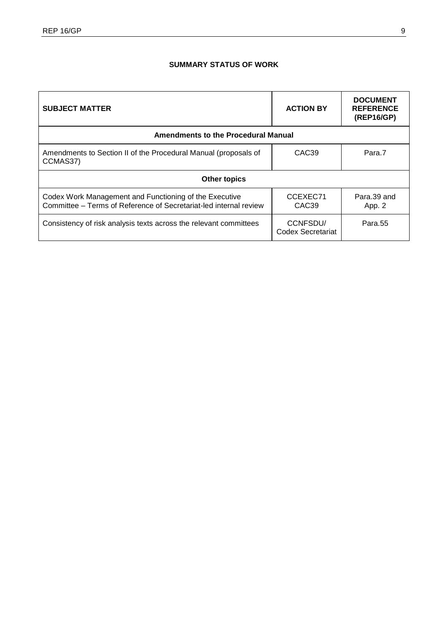# **SUMMARY STATUS OF WORK**

| <b>SUBJECT MATTER</b>                                                                                                       | <b>ACTION BY</b>              | <b>DOCUMENT</b><br><b>REFERENCE</b><br>(REP16/GP) |  |  |
|-----------------------------------------------------------------------------------------------------------------------------|-------------------------------|---------------------------------------------------|--|--|
| <b>Amendments to the Procedural Manual</b>                                                                                  |                               |                                                   |  |  |
| Amendments to Section II of the Procedural Manual (proposals of<br>CCMAS37)                                                 | CAC <sub>39</sub>             | Para.7                                            |  |  |
| <b>Other topics</b>                                                                                                         |                               |                                                   |  |  |
| Codex Work Management and Functioning of the Executive<br>Committee – Terms of Reference of Secretariat-led internal review | CCEXEC71<br>CAC <sub>39</sub> | Para.39 and<br>App. 2                             |  |  |
| Consistency of risk analysis texts across the relevant committees                                                           | CCNFSDU/<br>Codex Secretariat | Para <sub>.55</sub>                               |  |  |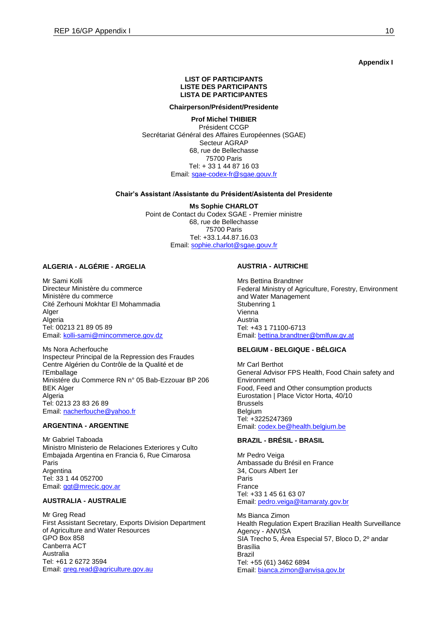#### **Appendix I**

### **LIST OF PARTICIPANTS LISTE DES PARTICIPANTS LISTA DE PARTICIPANTES**

#### **Chairperson/Président/Presidente**

**Prof Michel THIBIER** Président CCGP Secrétariat Général des Affaires Européennes (SGAE) Secteur AGRAP 68, rue de Bellechasse 75700 Paris Tel: + 33 1 44 87 16 03 Email[: sgae-codex-fr@sgae.gouv.fr](mailto:sgae-codex-fr@sgae.gouv.fr)

#### **Chair's Assistant /Assistante du Président/Asistenta del Presidente**

**Ms Sophie CHARLOT** Point de Contact du Codex SGAE - Premier ministre 68, rue de Bellechasse 75700 Paris Tel: +33.1.44.87.16.03 Email: [sophie.charlot@sgae.gouv.fr](mailto:sophie.charlot@sgae.gouv.fr) 

# **ALGERIA - ALGÉRIE - ARGELIA**

Mr Sami Kolli Directeur Ministère du commerce Ministère du commerce Cité Zerhouni Mokhtar El Mohammadia Alger Algeria Tel: 00213 21 89 05 89 Email: [kolli-sami@mincommerce.gov.dz](mailto:kolli-sami@mincommerce.gov.dz)

Ms Nora Acherfouche Inspecteur Principal de la Repression des Fraudes Centre Algérien du Contrôle de la Qualité et de l'Emballage Ministére du Commerce RN n° 05 Bab-Ezzouar BP 206 BEK Alger Algeria Tel: 0213 23 83 26 89 Email: [nacherfouche@yahoo.fr](mailto:nacherfouche@yahoo.fr)

# **ARGENTINA - ARGENTINE**

Mr Gabriel Taboada Ministro MInisterio de Relaciones Exteriores y Culto Embajada Argentina en Francia 6, Rue Cimarosa Paris Argentina Tel: 33 1 44 052700 Email: [ggt@mrecic.gov.ar](mailto:ggt@mrecic.gov.ar)

## **AUSTRALIA - AUSTRALIE**

Mr Greg Read First Assistant Secretary, Exports Division Department of Agriculture and Water Resources GPO Box 858 Canberra ACT Australia Tel: +61 2 6272 3594 Email: [greg.read@agriculture.gov.au](mailto:greg.read@agriculture.gov.au)

### **AUSTRIA - AUTRICHE**

Mrs Bettina Brandtner Federal Ministry of Agriculture, Forestry, Environment and Water Management Stubenring 1 Vienna Austria Tel: +43 1 71100-6713 Email: [bettina.brandtner@bmlfuw.gv.at](mailto:bettina.brandtner@bmlfuw.gv.at)

## **BELGIUM - BELGIQUE - BÉLGICA**

Mr Carl Berthot General Advisor FPS Health, Food Chain safety and Environment Food, Feed and Other consumption products Eurostation | Place Victor Horta, 40/10 Brussels Belgium Tel: +3225247369 Email: [codex.be@health.belgium.be](mailto:codex.be@health.belgium.be)

# **BRAZIL - BRÉSIL - BRASIL**

Mr Pedro Veiga Ambassade du Brésil en France 34, Cours Albert 1er Paris France Tel: +33 1 45 61 63 07 Email: [pedro.veiga@itamaraty.gov.br](mailto:pedro.veiga@itamaraty.gov.br)

Ms Bianca Zimon Health Regulation Expert Brazilian Health Surveillance Agency - ANVISA SIA Trecho 5, Área Especial 57, Bloco D, 2º andar Brasília Brazil Tel: +55 (61) 3462 6894 Email: [bianca.zimon@anvisa.gov.br](mailto:bianca.zimon@anvisa.gov.br)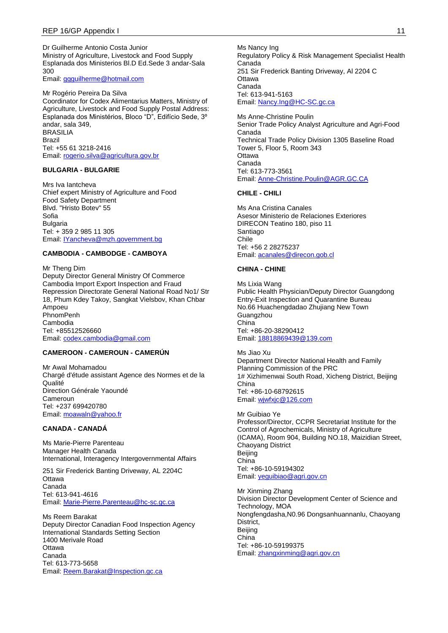Dr Guilherme Antonio Costa Junior Ministry of Agriculture, Livestock and Food Supply Esplanada dos Ministerios Bl.D Ed.Sede 3 andar-Sala 300

Email: [ggguilherme@hotmail.com](mailto:ggguilherme@hotmail.com)

Mr Rogério Pereira Da Silva Coordinator for Codex Alimentarius Matters, Ministry of Agriculture, Livestock and Food Supply Postal Address: Esplanada dos Ministérios, Bloco "D", Edifício Sede, 3º andar, sala 349, BRASILIA Brazil Tel: +55 61 3218-2416 Email: [rogerio.silva@agricultura.gov.br](mailto:rogerio.silva@agricultura.gov.br)

#### **BULGARIA - BULGARIE**

Mrs Iva Iantcheva Chief expert Ministry of Agriculture and Food Food Safety Department Blvd. "Hristo Botev" 55 Sofia Bulgaria Tel: + 359 2 985 11 305 Email: [IYancheva@mzh.government.bg](mailto:IYancheva@mzh.government.bg)

# **CAMBODIA - CAMBODGE - CAMBOYA**

Mr Theng Dim Deputy Director General Ministry Of Commerce Cambodia Import Export Inspection and Fraud Repression Directorate General National Road No1/ Str 18, Phum Kdey Takoy, Sangkat Vielsbov, Khan Chbar Ampoeu PhnomPenh Cambodia Tel: +85512526660 Email: [codex.cambodia@gmail.com](mailto:codex.cambodia@gmail.com)

# **CAMEROON - CAMEROUN - CAMERÚN**

Mr Awal Mohamadou Chargé d'étude assistant Agence des Normes et de la Qualité Direction Générale Yaoundé Cameroun Tel: +237 699420780 Email: [moawaln@yahoo.fr](mailto:moawaln@yahoo.fr)

#### **CANADA - CANADÁ**

Ms Marie-Pierre Parenteau Manager Health Canada International, Interagency Intergovernmental Affairs

251 Sir Frederick Banting Driveway, AL 2204C **Ottawa** Canada Tel: 613-941-4616 Email: [Marie-Pierre.Parenteau@hc-sc.gc.ca](mailto:Marie-Pierre.Parenteau@hc-sc.gc.ca)

Ms Reem Barakat Deputy Director Canadian Food Inspection Agency International Standards Setting Section 1400 Merivale Road **Ottawa** Canada Tel: 613-773-5658 Email: [Reem.Barakat@Inspection.gc.ca](mailto:Reem.Barakat@Inspection.gc.ca)

Ms Nancy Ing Regulatory Policy & Risk Management Specialist Health Canada 251 Sir Frederick Banting Driveway, Al 2204 C **Ottawa** Canada Tel: 613-941-5163 Email: [Nancy.Ing@HC-SC.gc.ca](mailto:Nancy.Ing@HC-SC.gc.ca)

Ms Anne-Christine Poulin Senior Trade Policy Analyst Agriculture and Agri-Food Canada Technical Trade Policy Division 1305 Baseline Road Tower 5, Floor 5, Room 343 Ottawa Canada Tel: 613-773-3561 Email: [Anne-Christine.Poulin@AGR.GC.CA](mailto:Anne-Christine.Poulin@AGR.GC.CA)

#### **CHILE - CHILI**

Ms Ana Cristina Canales Asesor Ministerio de Relaciones Exteriores DIRECON Teatino 180, piso 11 Santiago Chile Tel: +56 2 28275237 Email: [acanales@direcon.gob.cl](mailto:acanales@direcon.gob.cl)

#### **CHINA - CHINE**

Ms Lixia Wang Public Health Physician/Deputy Director Guangdong Entry-Exit Inspection and Quarantine Bureau No.66 Huachengdadao Zhujiang New Town **Guangzhou** China Tel: +86-20-38290412 Email: [18818869439@139.com](mailto:18818869439@139.com)

Ms Jiao Xu Department Director National Health and Family Planning Commission of the PRC 1# Xizhimenwai South Road, Xicheng District, Beijing China Tel: +86-10-68792615 Email: [wjwfxjc@126.com](mailto:wjwfxjc@126.com)

Mr Guibiao Ye Professor/Director, CCPR Secretariat Institute for the Control of Agrochemicals, Ministry of Agriculture (ICAMA), Room 904, Building NO.18, Maizidian Street, Chaoyang District Beijing China Tel: +86-10-59194302 Email: [yeguibiao@agri.gov.cn](mailto:yeguibiao@agri.gov.cn)

Mr Xinming Zhang Division Director Development Center of Science and Technology, MOA Nongfengdasha,N0.96 Dongsanhuannanlu, Chaoyang District, Beijing China Tel: +86-10-59199375 Email: [zhangxinming@agri.gov.cn](mailto:zhangxinming@agri.gov.cn)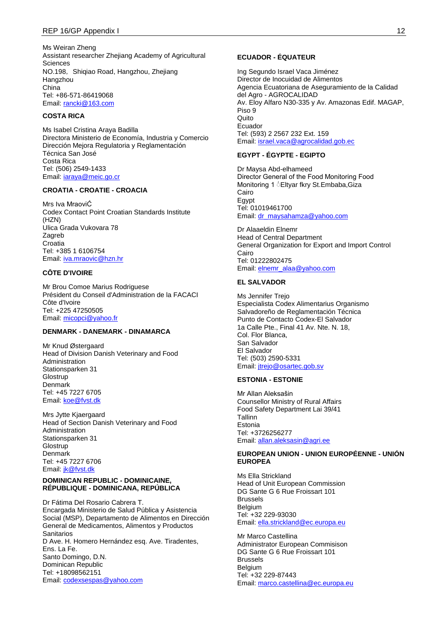Ms Weiran Zheng Assistant researcher Zhejiang Academy of Agricultural **Sciences** NO.198, Shiqiao Road, Hangzhou, Zhejiang Hangzhou China Tel: +86-571-86419068 Email: [rancki@163.com](mailto:rancki@163.com)

# **COSTA RICA**

Ms Isabel Cristina Araya Badilla Directora Ministerio de Economía, Industria y Comercio Dirección Mejora Regulatoria y Reglamentación Técnica San José Costa Rica Tel: (506) 2549-1433 Email: [iaraya@meic.go.cr](mailto:iaraya@meic.go.cr)

# **CROATIA - CROATIE - CROACIA**

Mrs Iva MraoviĆ Codex Contact Point Croatian Standards Institute (HZN) Ulica Grada Vukovara 78 Zagreb **Croatia** Tel: +385 1 6106754 Email: [iva.mraovic@hzn.hr](mailto:iva.mraovic@hzn.hr)

#### **CÔTE D'IVOIRE**

Mr Brou Comoe Marius Rodriguese Président du Conseil d'Administration de la FACACI Côte d'Ivoire Tel: +225 47250505 Email: [micopci@yahoo.fr](mailto:micopci@yahoo.fr)

### **DENMARK - DANEMARK - DINAMARCA**

Mr Knud Østergaard Head of Division Danish Veterinary and Food Administration Stationsparken 31 **Glostrup** Denmark Tel: +45 7227 6705 Email: [koe@fvst.dk](mailto:koe@fvst.dk)

Mrs Jytte Kjaergaard Head of Section Danish Veterinary and Food Administration Stationsparken 31 **Glostrup** Denmark Tel: +45 7227 6706 Email: *jk@fvst.dk* 

#### **DOMINICAN REPUBLIC - DOMINICAINE, RÉPUBLIQUE - DOMINICANA, REPÚBLICA**

Dr Fátima Del Rosario Cabrera T. Encargada Ministerio de Salud Pública y Asistencia Social (MSP), Departamento de Alimentos en Dirección General de Medicamentos, Alimentos y Productos Sanitarios D Ave. H. Homero Hernández esq. Ave. Tiradentes, Ens. La Fe. Santo Domingo, D.N. Dominican Republic Tel: +18098562151 Email: [codexsespas@yahoo.com](mailto:codexsespas@yahoo.com)

#### **ECUADOR - ÉQUATEUR**

Ing Segundo Israel Vaca Jiménez Director de Inocuidad de Alimentos Agencia Ecuatoriana de Aseguramiento de la Calidad del Agro - AGROCALIDAD Av. Eloy Alfaro N30-335 y Av. Amazonas Edif. MAGAP, Piso 9 **Quito** Ecuador Tel: (593) 2 2567 232 Ext. 159 Email: [israel.vaca@agrocalidad.gob.ec](mailto:israel.vaca@agrocalidad.gob.ec)

# **EGYPT - ÉGYPTE - EGIPTO**

Dr Maysa Abd-elhameed Director General of the Food Monitoring Food Monitoring 1 *CEltyar fkry St.Embaba, Giza* Cairo Egypt Tel: 01019461700 Email: [dr\\_maysahamza@yahoo.com](mailto:dr_maysahamza@yahoo.com)

Dr Alaaeldin Elnemr Head of Central Department General Organization for Export and Import Control **Cairo** Tel: 01222802475 Email: [elnemr\\_alaa@yahoo.com](mailto:elnemr_alaa@yahoo.com)

#### **EL SALVADOR**

Ms Jennifer Trejo Especialista Codex Alimentarius Organismo Salvadoreño de Reglamentación Técnica Punto de Contacto Codex-El Salvador 1a Calle Pte., Final 41 Av. Nte. N. 18, Col. Flor Blanca, San Salvador El Salvador Tel: (503) 2590-5331 Email: [jtrejo@osartec.gob.sv](mailto:jtrejo@osartec.gob.sv)

### **ESTONIA - ESTONIE**

Mr Allan Aleksašin Counsellor Ministry of Rural Affairs Food Safety Department Lai 39/41 Tallinn Estonia Tel: +3726256277 Email: [allan.aleksasin@agri.ee](mailto:allan.aleksasin@agri.ee)

# **EUROPEAN UNION - UNION EUROPÉENNE - UNIÓN EUROPEA**

Me Ella Strickland Head of Unit European Commission DG Sante G 6 Rue Froissart 101 Brussels **Belgium** Tel: +32 229-93030 Email: [ella.strickland@ec.europa.eu](mailto:ella.strickland@ec.europa.eu)

Mr Marco Castellina Administrator European Commisison DG Sante G 6 Rue Froissart 101 Brussels **Belgium** Tel: +32 229-87443 Email: [marco.castellina@ec.europa.eu](mailto:marco.castellina@ec.europa.eu)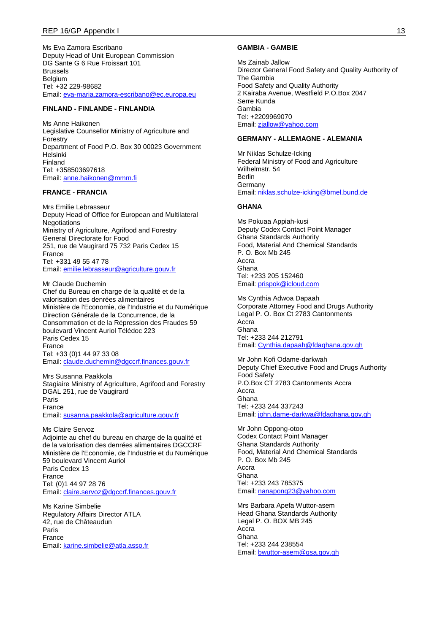Ms Eva Zamora Escribano Deputy Head of Unit European Commission DG Sante G 6 Rue Froissart 101 Brussels Belgium Tel: +32 229-98682 Email: [eva-maria.zamora-escribano@ec.europa.eu](mailto:eva-maria.zamora-escribano@ec.europa.eu)

#### **FINLAND - FINLANDE - FINLANDIA**

Ms Anne Haikonen Legislative Counsellor Ministry of Agriculture and Forestry Department of Food P.O. Box 30 00023 Government Helsinki Finland Tel: +358503697618 Email: [anne.haikonen@mmm.fi](mailto:anne.haikonen@mmm.fi)

### **FRANCE - FRANCIA**

Mrs Emilie Lebrasseur Deputy Head of Office for European and Multilateral **Negotiations** Ministry of Agriculture, Agrifood and Forestry General Directorate for Food 251, rue de Vaugirard 75 732 Paris Cedex 15 France Tel: +331 49 55 47 78 Email: [emilie.lebrasseur@agriculture.gouv.fr](mailto:emilie.lebrasseur@agriculture.gouv.fr)

Mr Claude Duchemin Chef du Bureau en charge de la qualité et de la valorisation des denrées alimentaires Ministère de l'Economie, de l'Industrie et du Numérique Direction Générale de la Concurrence, de la Consommation et de la Répression des Fraudes 59 boulevard Vincent Auriol Télédoc 223 Paris Cedex 15 France Tel: +33 (0)1 44 97 33 08 Email: [claude.duchemin@dgccrf.finances.gouv.fr](mailto:claude.duchemin@dgccrf.finances.gouv.fr)

Mrs Susanna Paakkola Stagiaire Ministry of Agriculture, Agrifood and Forestry DGAL 251, rue de Vaugirard Paris France Email: [susanna.paakkola@agriculture.gouv.fr](mailto:susanna.paakkola@agriculture.gouv.fr)

Ms Claire Servoz Adjointe au chef du bureau en charge de la qualité et de la valorisation des denrées alimentaires DGCCRF Ministère de l'Economie, de l'Industrie et du Numérique 59 boulevard Vincent Auriol Paris Cedex 13 France Tel: (0)1 44 97 28 76 Email: [claire.servoz@dgccrf.finances.gouv.fr](mailto:claire.servoz@dgccrf.finances.gouv.fr)

Ms Karine Simbelie Regulatory Affairs Director ATLA 42, rue de Châteaudun Paris France Email: [karine.simbelie@atla.asso.fr](mailto:karine.simbelie@atla.asso.fr)

#### **GAMBIA - GAMBIE**

Ms Zainab Jallow Director General Food Safety and Quality Authority of The Gambia Food Safety and Quality Authority 2 Kairaba Avenue, Westfield P.O.Box 2047 Serre Kunda Gambia Tel: +2209969070 Email: [zjallow@yahoo.com](mailto:zjallow@yahoo.com)

#### **GERMANY - ALLEMAGNE - ALEMANIA**

Mr Niklas Schulze-Icking Federal Ministry of Food and Agriculture Wilhelmstr. 54 Berlin Germany Email: [niklas.schulze-icking@bmel.bund.de](mailto:niklas.schulze-icking@bmel.bund.de)

#### **GHANA**

Ms Pokuaa Appiah-kusi Deputy Codex Contact Point Manager Ghana Standards Authority Food, Material And Chemical Standards P. O. Box Mb 245 Accra Ghana Tel: +233 205 152460 Email: [prispok@icloud.com](mailto:prispok@icloud.com)

Ms Cynthia Adwoa Dapaah Corporate Attorney Food and Drugs Authority Legal P. O. Box Ct 2783 Cantonments Accra Ghana Tel: +233 244 212791 Email: [Cynthia.dapaah@fdaghana.gov.gh](mailto:Cynthia.dapaah@fdaghana.gov.gh)

Mr John Kofi Odame-darkwah Deputy Chief Executive Food and Drugs Authority Food Safety P.O.Box CT 2783 Cantonments Accra Accra Ghana Tel: +233 244 337243 Email: [john.dame-darkwa@fdaghana.gov.gh](mailto:john.dame-darkwa@fdaghana.gov.gh)

Mr John Oppong-otoo Codex Contact Point Manager Ghana Standards Authority Food, Material And Chemical Standards P. O. Box Mb 245 Accra Ghana Tel: +233 243 785375 Email: [nanapong23@yahoo.com](mailto:nanapong23@yahoo.com)

Mrs Barbara Apefa Wuttor-asem Head Ghana Standards Authority Legal P. O. BOX MB 245 Accra Ghana Tel: +233 244 238554 Email: [bwuttor-asem@gsa.gov.gh](mailto:bwuttor-asem@gsa.gov.gh)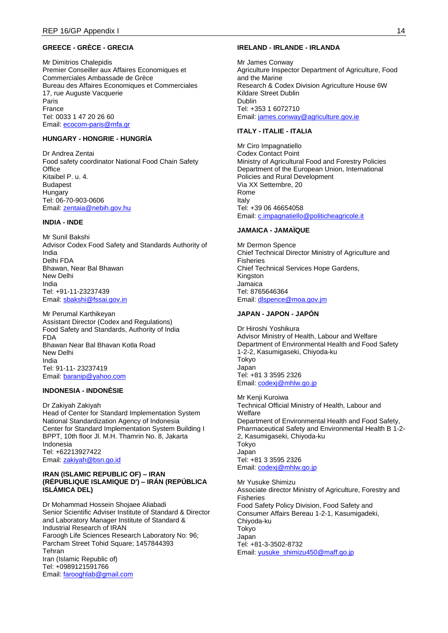# **GREECE - GRÈCE - GRECIA**

Mr Dimitrios Chalepidis Premier Conseiller aux Affaires Economiques et Commerciales Ambassade de Grèce Bureau des Affaires Economiques et Commerciales 17, rue Auguste Vacquerie Paris France Tel: 0033 1 47 20 26 60 Email: [ecocom-paris@mfa.gr](mailto:ecocom-paris@mfa.gr)

# **HUNGARY - HONGRIE - HUNGRÍA**

Dr Andrea Zentai Food safety coordinator National Food Chain Safety **Office** Kitaibel P. u. 4. Budapest Hungary Tel: 06-70-903-0606 Email: [zentaia@nebih.gov.hu](mailto:zentaia@nebih.gov.hu)

## **INDIA - INDE**

Mr Sunil Bakshi Advisor Codex Food Safety and Standards Authority of India Delhi FDA Bhawan, Near Bal Bhawan New Delhi India Tel: +91-11-23237439 Email: [sbakshi@fssai.gov.in](mailto:sbakshi@fssai.gov.in)

Mr Perumal Karthikeyan Assistant Director (Codex and Regulations) Food Safety and Standards, Authority of India FDA Bhawan Near Bal Bhavan Kotla Road New Delhi India Tel: 91-11- 23237419 Email: [baranip@yahoo.com](mailto:baranip@yahoo.com)

# **INDONESIA - INDONÉSIE**

Dr Zakiyah Zakiyah Head of Center for Standard Implementation System National Standardization Agency of Indonesia Center for Standard Implementation System Building I BPPT, 10th floor Jl. M.H. Thamrin No. 8, Jakarta Indonesia Tel: +62213927422 Email: [zakiyah@bsn.go.id](mailto:zakiyah@bsn.go.id)

### **IRAN (ISLAMIC REPUBLIC OF) – IRAN (RÉPUBLIQUE ISLAMIQUE D') – IRÁN (REPÚBLICA ISLÁMICA DEL)**

Dr Mohammad Hossein Shojaee Aliabadi Senior Scientific Adviser Institute of Standard & Director and Laboratory Manager Institute of Standard & Industrial Research of IRAN Faroogh Life Sciences Research Laboratory No: 96; Parcham Street Tohid Square; 1457844393 Tehran Iran (Islamic Republic of) Tel: +0989121591766 Email: [farooghlab@gmail.com](mailto:farooghlab@gmail.com)

#### **IRELAND - IRLANDE - IRLANDA**

Mr James Conway Agriculture Inspector Department of Agriculture, Food and the Marine Research & Codex Division Agriculture House 6W Kildare Street Dublin Dublin Tel: +353 1 6072710 Email: [james.conway@agriculture.gov.ie](mailto:james.conway@agriculture.gov.ie)

## **ITALY - ITALIE - ITALIA**

Mr Ciro Impagnatiello Codex Contact Point Ministry of Agricultural Food and Forestry Policies Department of the European Union, International Policies and Rural Development Via XX Settembre, 20 Rome Italy Tel: +39 06 46654058 Email: [c.impagnatiello@politicheagricole.it](mailto:c.impagnatiello@politicheagricole.it)

#### **JAMAICA - JAMAÏQUE**

Mr Dermon Spence Chief Technical Director Ministry of Agriculture and Fisheries Chief Technical Services Hope Gardens, Kingston Jamaica Tel: 8765646364 Email: [dlspence@moa.gov.jm](mailto:dlspence@moa.gov.jm)

# **JAPAN - JAPON - JAPÓN**

Dr Hiroshi Yoshikura Advisor Ministry of Health, Labour and Welfare Department of Environmental Health and Food Safety 1-2-2, Kasumigaseki, Chiyoda-ku Tokyo Japan Tel: +81 3 3595 2326 Email: [codexj@mhlw.go.jp](mailto:codexj@mhlw.go.jp)

Mr Kenji Kuroiwa Technical Official Ministry of Health, Labour and Welfare Department of Environmental Health and Food Safety, Pharmaceutical Safety and Environmental Health B 1-2- 2, Kasumigaseki, Chiyoda-ku Tokyo Japan Tel: +81 3 3595 2326 Email: [codexj@mhlw.go.jp](mailto:codexj@mhlw.go.jp)

Mr Yusuke Shimizu Associate director Ministry of Agriculture, Forestry and Fisheries Food Safety Policy Division, Food Safety and Consumer Affairs Bereau 1-2-1, Kasumigadeki, Chiyoda-ku Tokyo Japan Tel: +81-3-3502-8732 Email: [yusuke\\_shimizu450@maff.go.jp](mailto:yusuke_shimizu450@maff.go.jp)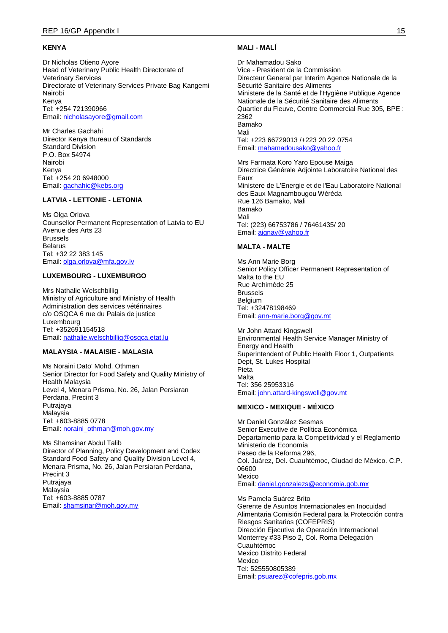#### **KENYA**

Dr Nicholas Otieno Ayore Head of Veterinary Public Health Directorate of Veterinary Services Directorate of Veterinary Services Private Bag Kangemi Nairobi Kenya Tel: +254 721390966 Email: [nicholasayore@gmail.com](mailto:nicholasayore@gmail.com)

Mr Charles Gachahi Director Kenya Bureau of Standards Standard Division P.O. Box 54974 Nairobi Kenya Tel: +254 20 6948000 Email: [gachahic@kebs.org](mailto:gachahic@kebs.org)

### **LATVIA - LETTONIE - LETONIA**

Ms Olga Orlova Counsellor Permanent Representation of Latvia to EU Avenue des Arts 23 Brussels Belarus Tel: +32 22 383 145 Email: [olga.orlova@mfa.gov.lv](mailto:olga.orlova@mfa.gov.lv)

#### **LUXEMBOURG - LUXEMBURGO**

Mrs Nathalie Welschbillig Ministry of Agriculture and Ministry of Health Administration des services vétérinaires c/o OSQCA 6 rue du Palais de justice Luxembourg Tel: +352691154518 Email: [nathalie.welschbillig@osqca.etat.lu](mailto:nathalie.welschbillig@osqca.etat.lu)

### **MALAYSIA - MALAISIE - MALASIA**

Ms Noraini Dato' Mohd. Othman Senior Director for Food Safety and Quality Ministry of Health Malaysia Level 4, Menara Prisma, No. 26, Jalan Persiaran Perdana, Precint 3 Putrajaya Malaysia Tel: +603-8885 0778 Email: [noraini\\_othman@moh.gov.my](mailto:noraini_othman@moh.gov.my)

Ms Shamsinar Abdul Talib Director of Planning, Policy Development and Codex Standard Food Safety and Quality Division Level 4, Menara Prisma, No. 26, Jalan Persiaran Perdana, Precint 3 Putrajaya **Malaysia** Tel: +603-8885 0787 Email: [shamsinar@moh.gov.my](mailto:shamsinar@moh.gov.my)

#### **MALI - MALÍ**

Dr Mahamadou Sako Vice - President de la Commission Directeur General par Interim Agence Nationale de la Sécurité Sanitaire des Aliments Ministere de la Santé et de l'Hygiène Publique Agence Nationale de la Sécurité Sanitaire des Aliments Quartier du Fleuve, Centre Commercial Rue 305, BPE : 2362 Bamako Mali Tel: +223 66729013 /+223 20 22 0754 Email: [mahamadousako@yahoo.fr](mailto:mahamadousako@yahoo.fr)

Mrs Farmata Koro Yaro Epouse Maiga Directrice Générale Adjointe Laboratoire National des Eaux Ministere de L'Energie et de l'Eau Laboratoire National des Eaux Magnambougou Wèrèda Rue 126 Bamako, Mali Bamako Mali Tel: (223) 66753786 / 76461435/ 20 Email: [aignay@yahoo.fr](mailto:aignay@yahoo.fr)

#### **MALTA - MALTE**

Ms Ann Marie Borg Senior Policy Officer Permanent Representation of Malta to the EU Rue Archimède 25 Brussels Belgium Tel: +32478198469 Email: [ann-marie.borg@gov.mt](mailto:ann-marie.borg@gov.mt)

Mr John Attard Kingswell Environmental Health Service Manager Ministry of Energy and Health Superintendent of Public Health Floor 1, Outpatients Dept, St. Lukes Hospital Pieta Malta Tel: 356 25953316 Email: [john.attard-kingswell@gov.mt](mailto:john.attard-kingswell@gov.mt)

### **MEXICO - MEXIQUE - MÉXICO**

Mr Daniel González Sesmas Senior Executive de Política Económica Departamento para la Competitividad y el Reglamento Ministerio de Economía Paseo de la Reforma 296, Col. Juárez, Del. Cuauhtémoc, Ciudad de México. C.P. 06600 Mexico Email: [daniel.gonzalezs@economia.gob.mx](mailto:daniel.gonzalezs@economia.gob.mx)

Ms Pamela Suárez Brito Gerente de Asuntos Internacionales en Inocuidad Alimentaria Comisión Federal para la Protección contra Riesgos Sanitarios (COFEPRIS) Dirección Ejecutiva de Operación Internacional Monterrey #33 Piso 2, Col. Roma Delegación Cuauhtémoc Mexico Distrito Federal Mexico Tel: 525550805389 Email: [psuarez@cofepris.gob.mx](mailto:psuarez@cofepris.gob.mx)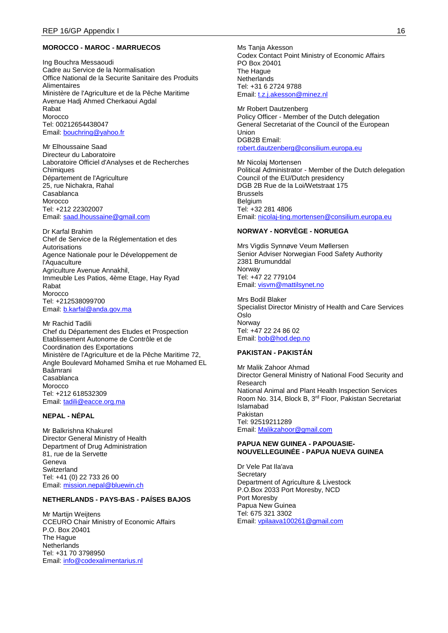### **MOROCCO - MAROC - MARRUECOS**

Ing Bouchra Messaoudi Cadre au Service de la Normalisation Office National de la Securite Sanitaire des Produits Alimentaires Ministère de l'Agriculture et de la Pêche Maritime Avenue Hadj Ahmed Cherkaoui Agdal Rabat Morocco Tel: 00212654438047 Email: [bouchring@yahoo.fr](mailto:bouchring@yahoo.fr)

Mr Elhoussaine Saad Directeur du Laboratoire Laboratoire Officiel d'Analyses et de Recherches **Chimiques** Département de l'Agriculture 25, rue Nichakra, Rahal Casablanca Morocco Tel: +212 22302007 Email: [saad.lhoussaine@gmail.com](mailto:saad.lhoussaine@gmail.com)

Dr Karfal Brahim Chef de Service de la Réglementation et des Autorisations Agence Nationale pour le Développement de l'Aquaculture Agriculture Avenue Annakhil, Immeuble Les Patios, 4ème Etage, Hay Ryad Rabat Morocco Tel: +212538099700 Email: [b.karfal@anda.gov.ma](mailto:b.karfal@anda.gov.ma)

Mr Rachid Tadili Chef du Département des Etudes et Prospection Etablissement Autonome de Contrôle et de Coordination des Exportations Ministère de l'Agriculture et de la Pêche Maritime 72, Angle Boulevard Mohamed Smiha et rue Mohamed EL Baâmrani Casablanca Morocco Tel: +212 618532309 Email: [tadili@eacce.org.ma](mailto:tadili@eacce.org.ma)

### **NEPAL - NÉPAL**

Mr Balkrishna Khakurel Director General Ministry of Health Department of Drug Administration 81, rue de la Servette Geneva Switzerland Tel: +41 (0) 22 733 26 00 Email: [mission.nepal@bluewin.ch](mailto:mission.nepal@bluewin.ch)

#### **NETHERLANDS - PAYS-BAS - PAÍSES BAJOS**

Mr Martijn Weijtens CCEURO Chair Ministry of Economic Affairs P.O. Box 20401 The Hague **Netherlands** Tel: +31 70 3798950 Email: [info@codexalimentarius.nl](mailto:info@codexalimentarius.nl)

Ms Tanja Akesson Codex Contact Point Ministry of Economic Affairs PO Box 20401 The Hague **Netherlands** Tel: +31 6 2724 9788 Email: [t.z.j.akesson@minez.nl](mailto:t.z.j.akesson@minez.nl)

Mr Robert Dautzenberg Policy Officer - Member of the Dutch delegation General Secretariat of the Council of the European **Union** DGB2B Email: [robert.dautzenberg@consilium.europa.eu](mailto:robert.dautzenberg@consilium.europa.eu)

Mr Nicolaj Mortensen Political Administrator - Member of the Dutch delegation Council of the EU/Dutch presidency DGB 2B Rue de la Loi/Wetstraat 175 Brussels **Belgium** Tel: +32 281 4806 Email: [nicolaj-ting.mortensen@consilium.europa.eu](mailto:nicolaj-ting.mortensen@consilium.europa.eu)

### **NORWAY - NORVÈGE - NORUEGA**

Mrs Vigdis Synnøve Veum Møllersen Senior Adviser Norwegian Food Safety Authority 2381 Brumunddal Norway Tel: +47 22 779104 Email: [visvm@mattilsynet.no](mailto:visvm@mattilsynet.no)

Mrs Bodil Blaker Specialist Director Ministry of Health and Care Services Oslo Norway Tel: +47 22 24 86 02 Email: [bob@hod.dep.no](mailto:bob@hod.dep.no)

# **PAKISTAN - PAKISTÁN**

Mr Malik Zahoor Ahmad Director General Ministry of National Food Security and Research National Animal and Plant Health Inspection Services Room No. 314, Block B, 3rd Floor, Pakistan Secretariat Islamabad Pakistan Tel: 92519211289 Email: [Malikzahoor@gmail.com](mailto:Malikzahoor@gmail.com)

#### **PAPUA NEW GUINEA - PAPOUASIE-NOUVELLEGUINÉE - PAPUA NUEVA GUINEA**

Dr Vele Pat Ila'ava **Secretary** Department of Agriculture & Livestock P.O.Box 2033 Port Moresby, NCD Port Moresby Papua New Guinea Tel: 675 321 3302 Email: [vpilaava100261@gmail.com](mailto:vpilaava100261@gmail.com)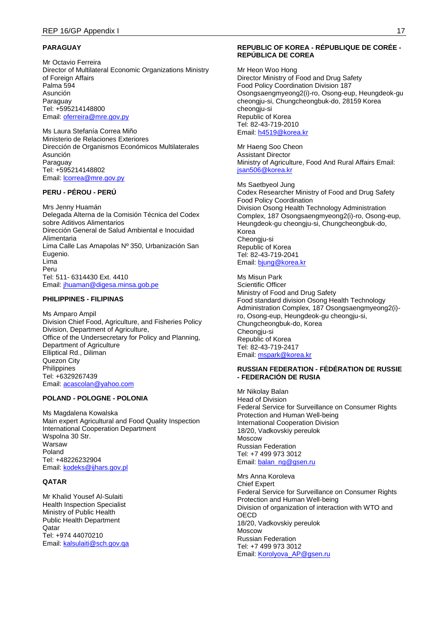# **PARAGUAY**

Mr Octavio Ferreira Director of Multilateral Economic Organizations Ministry of Foreign Affairs Palma 594 Asunción Paraguay Tel: +595214148800 Email: [oferreira@mre.gov.py](mailto:oferreira@mre.gov.py)

Ms Laura Stefanía Correa Miño Ministerio de Relaciones Exteriores Dirección de Organismos Económicos Multilaterales Asunción Paraguay Tel: +595214148802 Email: [lcorrea@mre.gov.py](mailto:lcorrea@mre.gov.py)

### **PERU - PÉROU - PERÚ**

Mrs Jenny Huamán Delegada Alterna de la Comisión Técnica del Codex sobre Aditivos Alimentarios Dirección General de Salud Ambiental e Inocuidad Alimentaria Lima Calle Las Amapolas Nº 350, Urbanización San Eugenio. Lima Peru Tel: 511- 6314430 Ext. 4410 Email: [jhuaman@digesa.minsa.gob.pe](mailto:jhuaman@digesa.minsa.gob.pe)

### **PHILIPPINES - FILIPINAS**

Ms Amparo Ampil Division Chief Food, Agriculture, and Fisheries Policy Division, Department of Agriculture, Office of the Undersecretary for Policy and Planning, Department of Agriculture Elliptical Rd., Diliman Quezon City **Philippines** Tel: +6329267439 Email: [acascolan@yahoo.com](mailto:acascolan@yahoo.com)

#### **POLAND - POLOGNE - POLONIA**

Ms Magdalena Kowalska Main expert Agricultural and Food Quality Inspection International Cooperation Department Wspolna 30 Str. Warsaw Poland Tel: +48226232904 Email: [kodeks@ijhars.gov.pl](mailto:kodeks@ijhars.gov.pl)

## **QATAR**

Mr Khalid Yousef Al-Sulaiti Health Inspection Specialist Ministry of Public Health Public Health Department Qatar Tel: +974 44070210 Email: [kalsulaiti@sch.gov.qa](mailto:kalsulaiti@sch.gov.qa)

#### **REPUBLIC OF KOREA - RÉPUBLIQUE DE CORÉE - REPÚBLICA DE COREA**

Mr Heon Woo Hong Director Ministry of Food and Drug Safety Food Policy Coordination Division 187 Osongsaengmyeong2(i)-ro, Osong-eup, Heungdeok-gu cheongju-si, Chungcheongbuk-do, 28159 Korea cheongju-si Republic of Korea Tel: 82-43-719-2010 Email: [h4519@korea.kr](mailto:h4519@korea.kr)

Mr Haeng Soo Cheon Assistant Director Ministry of Agriculture, Food And Rural Affairs Email: [jsan506@korea.kr](mailto:jsan506@korea.kr)

Ms Saetbyeol Jung Codex Researcher Ministry of Food and Drug Safety Food Policy Coordination Division Osong Health Technology Administration Complex, 187 Osongsaengmyeong2(i)-ro, Osong-eup, Heungdeok-gu cheongju-si, Chungcheongbuk-do, Korea Cheongju-si Republic of Korea Tel: 82-43-719-2041 Email: [bjung@korea.kr](mailto:bjung@korea.kr)

Ms Misun Park Scientific Officer Ministry of Food and Drug Safety Food standard division Osong Health Technology Administration Complex, 187 Osongsaengmyeong2(i) ro, Osong-eup, Heungdeok-gu cheongju-si, Chungcheongbuk-do, Korea Cheongju-si Republic of Korea Tel: 82-43-719-2417 Email: [mspark@korea.kr](mailto:mspark@korea.kr)

#### **RUSSIAN FEDERATION - FÉDÉRATION DE RUSSIE - FEDERACIÓN DE RUSIA**

Mr Nikolay Balan Head of Division Federal Service for Surveillance on Consumer Rights Protection and Human Well-being International Cooperation Division 18/20, Vadkovskiy pereulok Moscow Russian Federation Tel: +7 499 973 3012 Email: [balan\\_ng@gsen.ru](mailto:balan_ng@gsen.ru)

Mrs Anna Koroleva Chief Expert Federal Service for Surveillance on Consumer Rights Protection and Human Well-being Division of organization of interaction with WTO and **OECD** 18/20, Vadkovskiy pereulok Moscow Russian Federation Tel: +7 499 973 3012 Email: [Korolyova\\_AP@gsen.ru](mailto:Korolyova_AP@gsen.ru)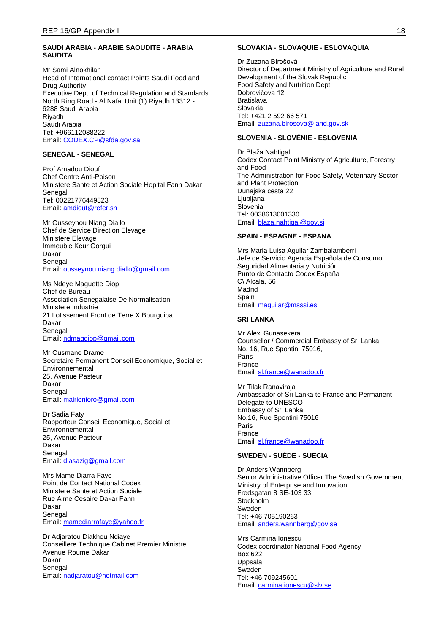### **SAUDI ARABIA - ARABIE SAOUDITE - ARABIA SAUDITA**

Mr Sami Alnokhilan Head of International contact Points Saudi Food and Drug Authority Executive Dept. of Technical Regulation and Standards North Ring Road - Al Nafal Unit (1) Riyadh 13312 - 6288 Saudi Arabia Riyadh Saudi Arabia Tel: +966112038222 Email: [CODEX.CP@sfda.gov.sa](mailto:CODEX.CP@sfda.gov.sa)

# **SENEGAL - SÉNÉGAL**

Prof Amadou Diouf Chef Centre Anti-Poison Ministere Sante et Action Sociale Hopital Fann Dakar Senegal Tel: 00221776449823 Email: [amdiouf@refer.sn](mailto:amdiouf@refer.sn)

Mr Ousseynou Niang Diallo Chef de Service Direction Elevage Ministere Elevage Immeuble Keur Gorgui Dakar Senegal Email: [ousseynou.niang.diallo@gmail.com](mailto:ousseynou.niang.diallo@gmail.com)

Ms Ndeye Maguette Diop Chef de Bureau Association Senegalaise De Normalisation Ministere Industrie 21 Lotissement Front de Terre X Bourguiba Dakar Senegal Email: [ndmagdiop@gmail.com](mailto:ndmagdiop@gmail.com)

Mr Ousmane Drame Secretaire Permanent Conseil Economique, Social et Environnemental 25, Avenue Pasteur Dakar Senegal Email: [mairienioro@gmail.com](mailto:mairienioro@gmail.com)

Dr Sadia Faty Rapporteur Conseil Economique, Social et Environnemental 25, Avenue Pasteur Dakar Senegal Email: [diasazig@gmail.com](mailto:diasazig@gmail.com)

Mrs Mame Diarra Faye Point de Contact National Codex Ministere Sante et Action Sociale Rue Aime Cesaire Dakar Fann Dakar Senegal Email: [mamediarrafaye@yahoo.fr](mailto:mamediarrafaye@yahoo.fr)

Dr Adjaratou Diakhou Ndiaye Conseillere Technique Cabinet Premier Ministre Avenue Roume Dakar Dakar Senegal Email: [nadjaratou@hotmail.com](mailto:nadjaratou@hotmail.com)

### **SLOVAKIA - SLOVAQUIE - ESLOVAQUIA**

Dr Zuzana Bírošová Director of Department Ministry of Agriculture and Rural Development of the Slovak Republic Food Safety and Nutrition Dept. Dobrovičova 12 **Bratislava** Slovakia Tel: +421 2 592 66 571 Email: [zuzana.birosova@land.gov.sk](mailto:zuzana.birosova@land.gov.sk)

## **SLOVENIA - SLOVÉNIE - ESLOVENIA**

Dr Blaža Nahtigal Codex Contact Point Ministry of Agriculture, Forestry and Food The Administration for Food Safety, Veterinary Sector and Plant Protection Dunajska cesta 22 Ljubljana Slovenia Tel: 0038613001330 Email: [blaza.nahtigal@gov.si](mailto:blaza.nahtigal@gov.si)

#### **SPAIN - ESPAGNE - ESPAÑA**

Mrs Maria Luisa Aguilar Zambalamberri Jefe de Servicio Agencia Española de Consumo, Seguridad Alimentaria y Nutrición Punto de Contacto Codex España C\ Alcala, 56 Madrid Spain Email: [maguilar@msssi.es](mailto:maguilar@msssi.es)

#### **SRI LANKA**

Mr Alexi Gunasekera Counsellor / Commercial Embassy of Sri Lanka No. 16, Rue Spontini 75016, Paris France Email: [sl.france@wanadoo.fr](mailto:sl.france@wanadoo.fr)

Mr Tilak Ranaviraja Ambassador of Sri Lanka to France and Permanent Delegate to UNESCO Embassy of Sri Lanka No.16, Rue Spontini 75016 Paris France Email: [sl.france@wanadoo.fr](mailto:sl.france@wanadoo.fr)

#### **SWEDEN - SUÈDE - SUECIA**

Dr Anders Wannberg Senior Administrative Officer The Swedish Government Ministry of Enterprise and Innovation Fredsgatan 8 SE-103 33 **Stockholm** Sweden Tel: +46 705190263 Email: [anders.wannberg@gov.se](mailto:anders.wannberg@gov.se)

Mrs Carmina Ionescu Codex coordinator National Food Agency Box 622 Uppsala Sweden Tel: +46 709245601 Email: [carmina.ionescu@slv.se](mailto:carmina.ionescu@slv.se)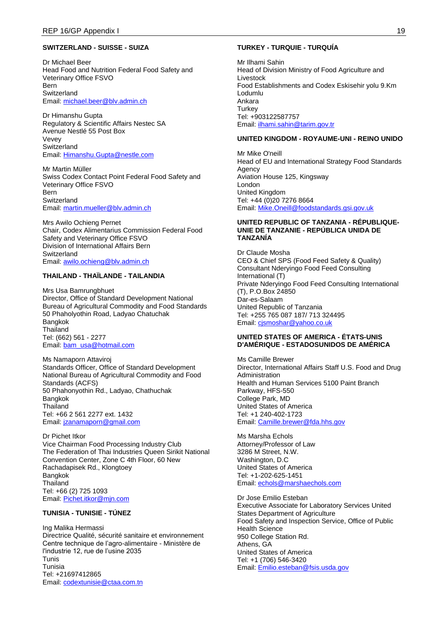### **SWITZERLAND - SUISSE - SUIZA**

Dr Michael Beer Head Food and Nutrition Federal Food Safety and Veterinary Office FSVO Bern **Switzerland** Email: [michael.beer@blv.admin.ch](mailto:michael.beer@blv.admin.ch)

Dr Himanshu Gupta Regulatory & Scientific Affairs Nestec SA Avenue Nestlé 55 Post Box Vevey Switzerland Email: [Himanshu.Gupta@nestle.com](mailto:Himanshu.Gupta@nestle.com)

Mr Martin Müller Swiss Codex Contact Point Federal Food Safety and Veterinary Office FSVO Bern Switzerland Email: [martin.mueller@blv.admin.ch](mailto:martin.mueller@blv.admin.ch)

Mrs Awilo Ochieng Pernet Chair, Codex Alimentarius Commission Federal Food Safety and Veterinary Office FSVO Division of International Affairs Bern **Switzerland** Email: [awilo.ochieng@blv.admin.ch](mailto:awilo.ochieng@blv.admin.ch)

# **THAILAND - THAÏLANDE - TAILANDIA**

Mrs Usa Bamrungbhuet Director, Office of Standard Development National Bureau of Agricultural Commodity and Food Standards 50 Phaholyothin Road, Ladyao Chatuchak Bangkok **Thailand** Tel: (662) 561 - 2277 Email: [bam\\_usa@hotmail.com](mailto:bam_usa@hotmail.com)

Ms Namaporn Attaviroj Standards Officer, Office of Standard Development National Bureau of Agricultural Commodity and Food Standards (ACFS) 50 Phahonyothin Rd., Ladyao, Chathuchak Bangkok **Thailand** Tel: +66 2 561 2277 ext. 1432 Email: [jzanamaporn@gmail.com](mailto:jzanamaporn@gmail.com)

Dr Pichet Itkor Vice Chairman Food Processing Industry Club The Federation of Thai Industries Queen Sirikit National Convention Center, Zone C 4th Floor, 60 New Rachadapisek Rd., Klongtoey Bangkok **Thailand** Tel: +66 (2) 725 1093 Email: [Pichet.itkor@mjn.com](mailto:Pichet.itkor@mjn.com)

## **TUNISIA - TUNISIE - TÚNEZ**

Ing Malika Hermassi Directrice Qualité, sécurité sanitaire et environnement Centre technique de l'agro-alimentaire - Ministère de l'industrie 12, rue de l'usine 2035 Tunis Tunisia Tel: +21697412865 Email: [codextunisie@ctaa.com.tn](mailto:codextunisie@ctaa.com.tn)

## **TURKEY - TURQUIE - TURQUÍA**

Mr Ilhami Sahin Head of Division Ministry of Food Agriculture and Livestock Food Establishments and Codex Eskisehir yolu 9.Km Lodumlu Ankara **Turkey** Tel: +903122587757 Email: [ilhami.sahin@tarim.gov.tr](mailto:ilhami.sahin@tarim.gov.tr)

#### **UNITED KINGDOM - ROYAUME-UNI - REINO UNIDO**

Mr Mike O'neill Head of EU and International Strategy Food Standards Agency Aviation House 125, Kingsway London United Kingdom Tel: +44 (0)20 7276 8664 Email: [Mike.Oneill@foodstandards.gsi.gov.uk](mailto:Mike.Oneill@foodstandards.gsi.gov.uk)

#### **UNITED REPUBLIC OF TANZANIA - RÉPUBLIQUE-UNIE DE TANZANIE - REPÚBLICA UNIDA DE TANZANÍA**

Dr Claude Mosha CEO & Chief SPS (Food Feed Safety & Quality) Consultant Nderyingo Food Feed Consulting International (T) Private Nderyingo Food Feed Consulting International (T), P.O.Box 24850 Dar-es-Salaam United Republic of Tanzania Tel: +255 765 087 187/ 713 324495 Email: [cjsmoshar@yahoo.co.uk](mailto:cjsmoshar@yahoo.co.uk)

#### **UNITED STATES OF AMERICA - ÉTATS-UNIS D'AMÉRIQUE - ESTADOSUNIDOS DE AMÉRICA**

Ms Camille Brewer Director, International Affairs Staff U.S. Food and Drug Administration Health and Human Services 5100 Paint Branch Parkway, HFS-550 College Park, MD United States of America Tel: +1 240-402-1723 Email: [Camille.brewer@fda.hhs.gov](mailto:Camille.brewer@fda.hhs.gov)

Ms Marsha Echols Attorney/Professor of Law 3286 M Street, N.W. Washington, D.C United States of America Tel: +1-202-625-1451 Email: [echols@marshaechols.com](mailto:echols@marshaechols.com)

Dr Jose Emilio Esteban Executive Associate for Laboratory Services United States Department of Agriculture Food Safety and Inspection Service, Office of Public Health Science 950 College Station Rd. Athens, GA United States of America Tel: +1 (706) 546-3420 Email: [Emilio.esteban@fsis.usda.gov](mailto:Emilio.esteban@fsis.usda.gov)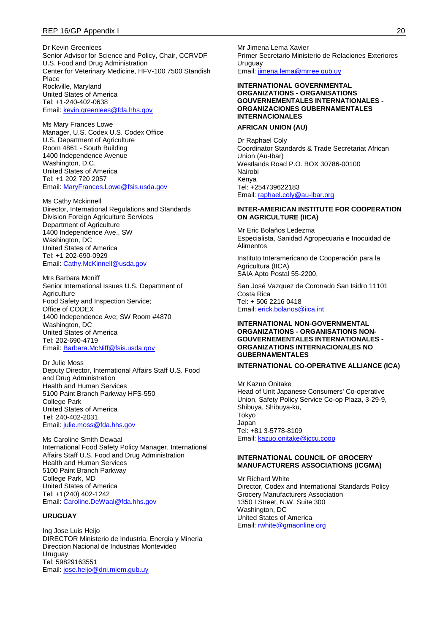Dr Kevin Greenlees Senior Advisor for Science and Policy, Chair, CCRVDF U.S. Food and Drug Administration Center for Veterinary Medicine, HFV-100 7500 Standish Place Rockville, Maryland United States of America Tel: +1-240-402-0638 Email: [kevin.greenlees@fda.hhs.gov](mailto:kevin.greenlees@fda.hhs.gov)

Ms Mary Frances Lowe Manager, U.S. Codex U.S. Codex Office U.S. Department of Agriculture Room 4861 - South Building 1400 Independence Avenue Washington, D.C. United States of America Tel: +1 202 720 2057 Email: [MaryFrances.Lowe@fsis.usda.gov](mailto:MaryFrances.Lowe@fsis.usda.gov)

Ms Cathy Mckinnell Director, International Regulations and Standards Division Foreign Agriculture Services Department of Agriculture 1400 Independence Ave., SW Washington, DC United States of America Tel: +1 202-690-0929 Email: [Cathy.McKinnell@usda.gov](mailto:Cathy.McKinnell@usda.gov)

Mrs Barbara Mcniff Senior International Issues U.S. Department of **Agriculture** Food Safety and Inspection Service; Office of CODEX 1400 Independence Ave; SW Room #4870 Washington, DC United States of America Tel: 202-690-4719 Email: [Barbara.McNiff@fsis.usda.gov](mailto:Barbara.McNiff@fsis.usda.gov)

Dr Julie Moss Deputy Director, International Affairs Staff U.S. Food and Drug Administration Health and Human Services 5100 Paint Branch Parkway HFS-550 College Park United States of America Tel: 240-402-2031 Email: [julie.moss@fda.hhs.gov](mailto:julie.moss@fda.hhs.gov)

Ms Caroline Smith Dewaal International Food Safety Policy Manager, International Affairs Staff U.S. Food and Drug Administration Health and Human Services 5100 Paint Branch Parkway College Park, MD United States of America Tel: +1(240) 402-1242 Email: [Caroline.DeWaal@fda.hhs.gov](mailto:Caroline.DeWaal@fda.hhs.gov)

#### **URUGUAY**

Ing Jose Luis Heijo DIRECTOR Ministerio de Industria, Energia y Mineria Direccion Nacional de Industrias Montevideo Uruguay Tel: 59829163551 Email: [jose.heijo@dni.miem.gub.uy](mailto:jose.heijo@dni.miem.gub.uy)

Mr Jimena Lema Xavier Primer Secretario Ministerio de Relaciones Exteriores Uruguay Email: [jimena.lema@mrree.gub.uy](mailto:jimena.lema@mrree.gub.uy)

#### **INTERNATIONAL GOVERNMENTAL ORGANIZATIONS - ORGANISATIONS GOUVERNEMENTALES INTERNATIONALES - ORGANIZACIONES GUBERNAMENTALES INTERNACIONALES**

# **AFRICAN UNION (AU)**

Dr Raphael Coly Coordinator Standards & Trade Secretariat African Union (Au-Ibar) Westlands Road P.O. BOX 30786-00100 Nairobi Kenya Tel: +254739622183 Email: [raphael.coly@au-ibar.org](mailto:raphael.coly@au-ibar.org)

#### **INTER-AMERICAN INSTITUTE FOR COOPERATION ON AGRICULTURE (IICA)**

Mr Eric Bolaños Ledezma Especialista, Sanidad Agropecuaria e Inocuidad de Alimentos

Instituto Interamericano de Cooperación para la Agricultura (IICA) SAIA Apto Postal 55-2200,

San José Vazquez de Coronado San Isidro 11101 Costa Rica Tel: + 506 2216 0418 Email: [erick.bolanos@iica.int](mailto:erick.bolanos@iica.int)

### **INTERNATIONAL NON-GOVERNMENTAL ORGANIZATIONS - ORGANISATIONS NON-GOUVERNEMENTALES INTERNATIONALES - ORGANIZATIONS INTERNACIONALES NO GUBERNAMENTALES**

**INTERNATIONAL CO-OPERATIVE ALLIANCE (ICA)**

Mr Kazuo Onitake Head of Unit Japanese Consumers' Co-operative Union, Safety Policy Service Co-op Plaza, 3-29-9, Shibuya, Shibuya-ku, Tokyo Japan Tel: +81 3-5778-8109 Email: [kazuo.onitake@jccu.coop](mailto:kazuo.onitake@jccu.coop)

#### **INTERNATIONAL COUNCIL OF GROCERY MANUFACTURERS ASSOCIATIONS (ICGMA)**

Mr Richard White Director, Codex and International Standards Policy Grocery Manufacturers Association 1350 I Street, N.W. Suite 300 Washington, DC United States of America Email: [rwhite@gmaonline.org](mailto:rwhite@gmaonline.org)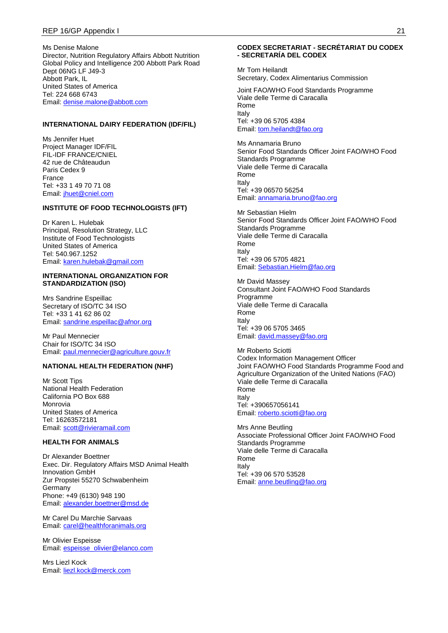#### REP 16/GP Appendix I 21

Ms Denise Malone Director, Nutrition Regulatory Affairs Abbott Nutrition Global Policy and Intelligence 200 Abbott Park Road Dept 06NG LF J49-3 Abbott Park, IL United States of America Tel: 224 668 6743 Email: [denise.malone@abbott.com](mailto:denise.malone@abbott.com)

### **INTERNATIONAL DAIRY FEDERATION (IDF/FIL)**

Ms Jennifer Huet Project Manager IDF/FIL FIL-IDF FRANCE/CNIEL 42 rue de Châteaudun Paris Cedex 9 France Tel: +33 1 49 70 71 08 Email: [jhuet@cniel.com](mailto:jhuet@cniel.com)

#### **INSTITUTE OF FOOD TECHNOLOGISTS (IFT)**

Dr Karen L. Hulebak Principal, Resolution Strategy, LLC Institute of Food Technologists United States of America Tel: 540.967.1252 Email: [karen.hulebak@gmail.com](mailto:karen.hulebak@gmail.com)

#### **INTERNATIONAL ORGANIZATION FOR STANDARDIZATION (ISO)**

Mrs Sandrine Espeillac Secretary of ISO/TC 34 ISO Tel: +33 1 41 62 86 02 Email: [sandrine.espeillac@afnor.org](mailto:sandrine.espeillac@afnor.org)

Mr Paul Mennecier Chair for ISO/TC 34 ISO Email: [paul.mennecier@agriculture.gouv.fr](mailto:paul.mennecier@agriculture.gouv.fr)

# **NATIONAL HEALTH FEDERATION (NHF)**

Mr Scott Tips National Health Federation California PO Box 688 Monrovia United States of America Tel: 16263572181 Email: [scott@rivieramail.com](mailto:scott@rivieramail.com)

# **HEALTH FOR ANIMALS**

Dr Alexander Boettner Exec. Dir. Regulatory Affairs MSD Animal Health Innovation GmbH Zur Propstei 55270 Schwabenheim Germany Phone: +49 (6130) 948 190 Email: [alexander.boettner@msd.de](mailto:alexander.boettner@msd.de)

Mr Carel Du Marchie Sarvaas Email: [carel@healthforanimals.org](mailto:carel@healthforanimals.org)

Mr Olivier Espeisse Email: [espeisse\\_olivier@elanco.com](mailto:espeisse_olivier@elanco.com)

Mrs Liezl Kock Email: [liezl.kock@merck.com](mailto:liezl.kock@merck.com)

### **CODEX SECRETARIAT - SECRÉTARIAT DU CODEX - SECRETARÍA DEL CODEX**

Mr Tom Heilandt Secretary, Codex Alimentarius Commission

Joint FAO/WHO Food Standards Programme Viale delle Terme di Caracalla Rome Italy Tel: +39 06 5705 4384 Email: [tom.heilandt@fao.org](mailto:tom.heilandt@fao.org)

Ms Annamaria Bruno Senior Food Standards Officer Joint FAO/WHO Food Standards Programme Viale delle Terme di Caracalla Rome Italy Tel: +39 06570 56254 Email: [annamaria.bruno@fao.org](mailto:annamaria.bruno@fao.org)

Mr Sebastian Hielm Senior Food Standards Officer Joint FAO/WHO Food Standards Programme Viale delle Terme di Caracalla Rome Italy Tel: +39 06 5705 4821 Email: [Sebastian.Hielm@fao.org](mailto:Sebastian.Hielm@fao.org)

Mr David Massey Consultant Joint FAO/WHO Food Standards Programme Viale delle Terme di Caracalla Rome Italy Tel: +39 06 5705 3465 Email: [david.massey@fao.org](mailto:david.massey@fao.org)

Mr Roberto Sciotti Codex Information Management Officer Joint FAO/WHO Food Standards Programme Food and Agriculture Organization of the United Nations (FAO) Viale delle Terme di Caracalla Rome Italy Tel: +390657056141 Email: [roberto.sciotti@fao.org](mailto:roberto.sciotti@fao.org)

Mrs Anne Beutling Associate Professional Officer Joint FAO/WHO Food Standards Programme Viale delle Terme di Caracalla Rome Italy Tel: +39 06 570 53528 Email: [anne.beutling@fao.org](mailto:anne.beutling@fao.org)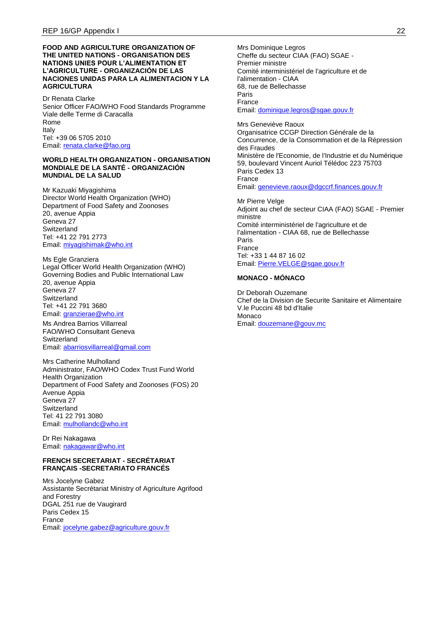#### **FOOD AND AGRICULTURE ORGANIZATION OF THE UNITED NATIONS - ORGANISATION DES NATIONS UNIES POUR L'ALIMENTATION ET L'AGRICULTURE - ORGANIZACIÓN DE LAS NACIONES UNIDAS PARA LA ALIMENTACION Y LA AGRICULTURA**

Dr Renata Clarke Senior Officer FAO/WHO Food Standards Programme Viale delle Terme di Caracalla Rome Italy Tel: +39 06 5705 2010 Email: [renata.clarke@fao.org](mailto:renata.clarke@fao.org)

#### **WORLD HEALTH ORGANIZATION - ORGANISATION MONDIALE DE LA SANTÉ - ORGANIZACIÓN MUNDIAL DE LA SALUD**

Mr Kazuaki Miyagishima Director World Health Organization (WHO) Department of Food Safety and Zoonoses 20, avenue Appia Geneva 27 **Switzerland** Tel: +41 22 791 2773 Email: [miyagishimak@who.int](mailto:miyagishimak@who.int)

Ms Egle Granziera Legal Officer World Health Organization (WHO) Governing Bodies and Public International Law 20, avenue Appia Geneva 27 **Switzerland** Tel: +41 22 791 3680 Email: [granzierae@who.int](mailto:granzierae@who.int)

Ms Andrea Barrios Villarreal FAO/WHO Consultant Geneva **Switzerland** Email: [abarriosvillarreal@gmail.com](mailto:abarriosvillarreal@gmail.com)

Mrs Catherine Mulholland Administrator, FAO/WHO Codex Trust Fund World Health Organization Department of Food Safety and Zoonoses (FOS) 20 Avenue Appia Geneva 27 **Switzerland** Tel: 41 22 791 3080 Email: [mulhollandc@who.int](mailto:mulhollandc@who.int)

Dr Rei Nakagawa Email: [nakagawar@who.int](mailto:nakagawar@who.int)

#### **FRENCH SECRETARIAT - SECRÉTARIAT FRANÇAIS -SECRETARIATO FRANCÉS**

Mrs Jocelyne Gabez Assistante Secrétariat Ministry of Agriculture Agrifood and Forestry DGAL 251 rue de Vaugirard Paris Cedex 15 France Email: [jocelyne.gabez@agriculture.gouv.fr](mailto:jocelyne.gabez@agriculture.gouv.fr)

Mrs Dominique Legros Cheffe du secteur CIAA (FAO) SGAE - Premier ministre Comité interministériel de l'agriculture et de l'alimentation - CIAA 68, rue de Bellechasse Paris France Email: [dominique.legros@sgae.gouv.fr](mailto:dominique.legros@sgae.gouv.fr)

Mrs Geneviève Raoux Organisatrice CCGP Direction Générale de la Concurrence, de la Consommation et de la Répression des Fraudes Ministère de l'Economie, de l'Industrie et du Numérique 59, boulevard Vincent Auriol Télédoc 223 75703 Paris Cedex 13 France Email: [genevieve.raoux@dgccrf.finances.gouv.fr](mailto:genevieve.raoux@dgccrf.finances.gouv.fr)

Mr Pierre Velge Adjoint au chef de secteur CIAA (FAO) SGAE - Premier ministre Comité interministériel de l'agriculture et de l'alimentation - CIAA 68, rue de Bellechasse Paris France Tel: +33 1 44 87 16 02 Email: [Pierre.VELGE@sgae.gouv.fr](mailto:Pierre.VELGE@sgae.gouv.fr)

### **MONACO - MÓNACO**

Dr Deborah Ouzemane Chef de la Division de Securite Sanitaire et Alimentaire V.le Puccini 48 bd d'Italie Monaco Email: [douzemane@gouv.mc](mailto:douzemane@gouv.mc)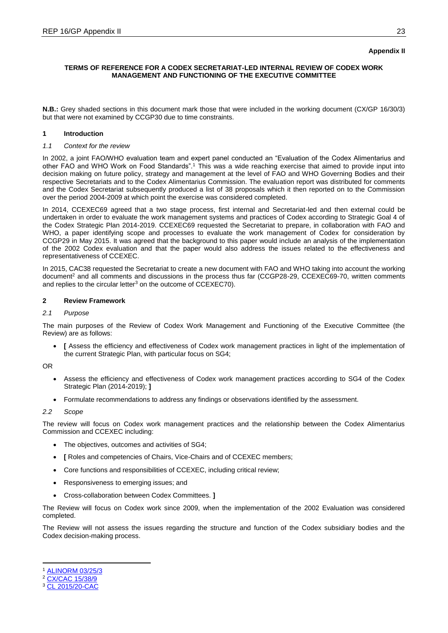# **Appendix II**

# **TERMS OF REFERENCE FOR A CODEX SECRETARIAT-LED INTERNAL REVIEW OF CODEX WORK MANAGEMENT AND FUNCTIONING OF THE EXECUTIVE COMMITTEE**

**N.B.:** Grey shaded sections in this document mark those that were included in the working document (CX/GP 16/30/3) but that were not examined by CCGP30 due to time constraints.

# **1 Introduction**

# *1.1 Context for the review*

In 2002, a joint FAO/WHO evaluation team and expert panel conducted an "Evaluation of the Codex Alimentarius and other FAO and WHO Work on Food Standards".<sup>1</sup> This was a wide reaching exercise that aimed to provide input into decision making on future policy, strategy and management at the level of FAO and WHO Governing Bodies and their respective Secretariats and to the Codex Alimentarius Commission. The evaluation report was distributed for comments and the Codex Secretariat subsequently produced a list of 38 proposals which it then reported on to the Commission over the period 2004-2009 at which point the exercise was considered completed.

In 2014, CCEXEC69 agreed that a two stage process, first internal and Secretariat-led and then external could be undertaken in order to evaluate the work management systems and practices of Codex according to Strategic Goal 4 of the Codex Strategic Plan 2014-2019. CCEXEC69 requested the Secretariat to prepare, in collaboration with FAO and WHO, a paper identifying scope and processes to evaluate the work management of Codex for consideration by CCGP29 in May 2015. It was agreed that the background to this paper would include an analysis of the implementation of the 2002 Codex evaluation and that the paper would also address the issues related to the effectiveness and representativeness of CCEXEC.

In 2015, CAC38 requested the Secretariat to create a new document with FAO and WHO taking into account the working document<sup>2</sup> and all comments and discussions in the process thus far (CCGP28-29, CCEXEC69-70, written comments and replies to the circular letter<sup>3</sup> on the outcome of CCEXEC70).

# **2 Review Framework**

### *2.1 Purpose*

The main purposes of the Review of Codex Work Management and Functioning of the Executive Committee (the Review) are as follows:

 **[** Assess the efficiency and effectiveness of Codex work management practices in light of the implementation of the current Strategic Plan, with particular focus on SG4;

OR

- Assess the efficiency and effectiveness of Codex work management practices according to SG4 of the Codex Strategic Plan (2014-2019); **]**
- Formulate recommendations to address any findings or observations identified by the assessment.

#### *2.2 Scope*

The review will focus on Codex work management practices and the relationship between the Codex Alimentarius Commission and CCEXEC including:

- The objectives, outcomes and activities of SG4;
- **[** Roles and competencies of Chairs, Vice-Chairs and of CCEXEC members;
- Core functions and responsibilities of CCEXEC, including critical review;
- Responsiveness to emerging issues; and
- Cross-collaboration between Codex Committees. **]**

The Review will focus on Codex work since 2009, when the implementation of the 2002 Evaluation was considered completed.

The Review will not assess the issues regarding the structure and function of the Codex subsidiary bodies and the Codex decision-making process.

<sup>-</sup>[ALINORM 03/25/3](ftp://ftp.fao.org/codex/meetings/CAC/cac25/alx3_03e.pdf)

<sup>&</sup>lt;sup>2</sup> [CX/CAC 15/38/9](ftp://ftp.fao.org/codex/meetings/CAC/CAC38/cac38_09e.pdf)

<sup>3</sup> [CL 2015/20-CAC](ftp://ftp.fao.org/codex/Circular_Letters/CxCL2015/cl15_20e.pdf)